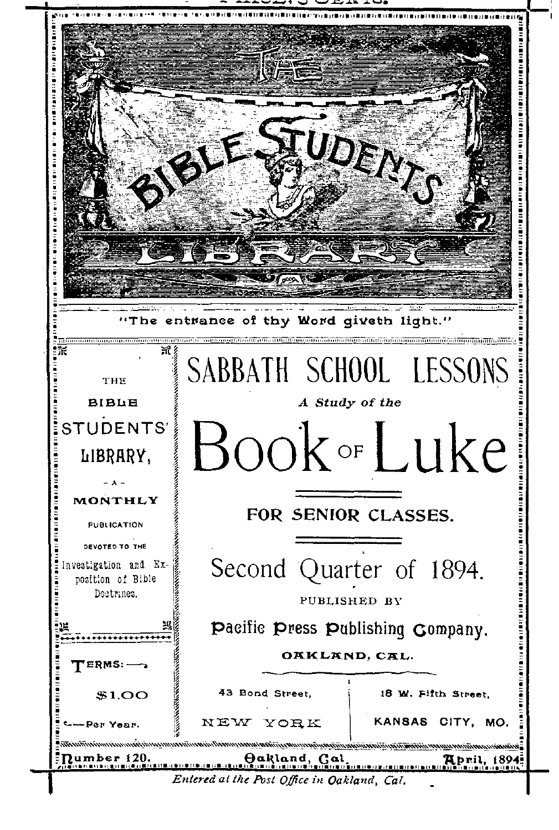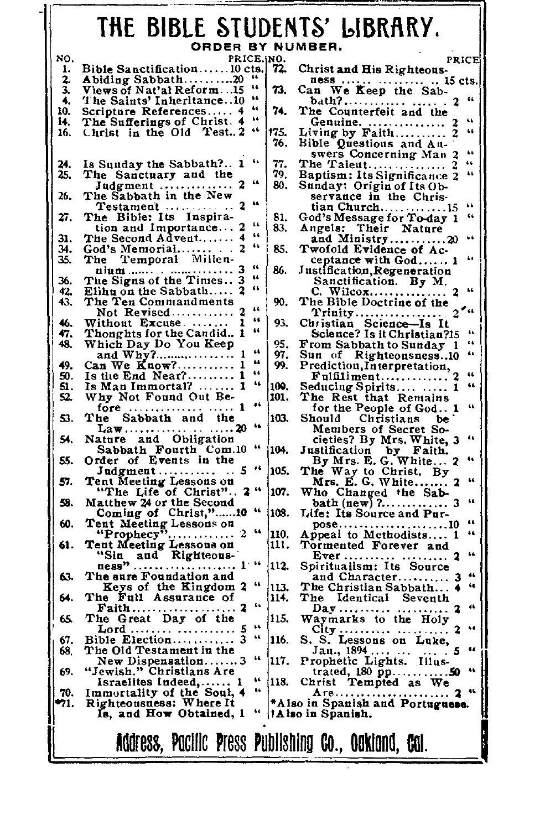# **THE BIBLE STUDENTS'**  ORDER BY NUMBER.

| NO.  | PRICE. NO.                                                                    |      | PRICE                                                                                                                                                                   |
|------|-------------------------------------------------------------------------------|------|-------------------------------------------------------------------------------------------------------------------------------------------------------------------------|
| 1.   | Bible Sanctification10 cts.                                                   | 72.  | Christ and His Righteous-                                                                                                                                               |
| 2.   | Abiding Sabbath20                                                             |      | ness    15 cts.                                                                                                                                                         |
| 3.   | 44<br>Views of Nat'al Reform15                                                | 73.  | Can We Keep the Sab-                                                                                                                                                    |
| 4.   | 66<br>The Saints' Inheritance10                                               |      | 66<br>bath?                                                                                                                                                             |
| 10.  | 44<br>Scripture References 4                                                  | 74.  | The Counterfeit and the                                                                                                                                                 |
| 14.  | 66<br>The Sufferings of Christ. 4                                             |      | 66<br>Genuine.                                                                                                                                                          |
| 16.  | 44<br>Christ in the Old Test2                                                 | 175. | 66                                                                                                                                                                      |
|      |                                                                               | 76.  | Living by Faith<br>Bible Questions and An-                                                                                                                              |
|      |                                                                               |      | $\ddot{\phantom{a}}$<br>swers Concerning Man 2                                                                                                                          |
| 24.  | 44<br>Is Sunday the Sabbath? 1                                                | 77.  | The Taient<br>$\ddot{\phantom{a}}$                                                                                                                                      |
| 25.  | The Sanctuary and the                                                         | 79.  | 44                                                                                                                                                                      |
|      | 66<br>Judgment  2                                                             | 80.  | Baptism: Its Significance 2<br>Sunday: Origin of Its Ob-                                                                                                                |
| 26.  | The Sabbath in the New                                                        |      | servance in the Chris-                                                                                                                                                  |
|      | 44<br>2<br>Testament                                                          |      | ĠŚ.<br>tian Church15                                                                                                                                                    |
| 27.  | The Bible: Its Inspira-                                                       | 81.  | God's Message for To-day 1<br>٤ċ                                                                                                                                        |
|      | 66<br>tion and Importance                                                     | 83.  | Angels: Their Nature                                                                                                                                                    |
| 31.  | 66<br>The Second Advent 4                                                     |      | and Ministry20<br>44                                                                                                                                                    |
| 34.  | 66                                                                            | 85.  | Twofold Evidence of Ac-                                                                                                                                                 |
| 35.  | The Temporal Millen-                                                          |      | 64<br>ceptance with God 1                                                                                                                                               |
|      | 66                                                                            | 86.  | Justification, Regeneration                                                                                                                                             |
| 36.  | 66                                                                            |      | Sanctification. By M.                                                                                                                                                   |
| 42,  | 66<br>Elihu on the Sabbath                                                    |      | 44                                                                                                                                                                      |
| 43.  | The Ten Commandments                                                          | 90.  | The Bible Doctrine of the                                                                                                                                               |
|      | $\overline{1}$<br>Not Revised                                                 |      |                                                                                                                                                                         |
| 46.  | 46<br>Without Excuse                                                          | 93.  | Christian Science-Is It                                                                                                                                                 |
| 47.  | $\overline{\mathbf{a}}$<br>Thonghts for the Candid 1                          |      | Science? Is it Christian?15<br>$\ddot{\phantom{a}}$                                                                                                                     |
| 48.  | Which Day Do You Keep                                                         | 95.  | 66<br>From Sabbath to Sunday 1                                                                                                                                          |
|      | 44<br>and Why?                                                                | 97.  | 66<br>Sun of Righteousness10                                                                                                                                            |
| 49.  | 66<br>Can We Know?<br>1                                                       | 99.  | Prediction, Interpretation,                                                                                                                                             |
| 50.  | 66<br>Is the End Near?                                                        |      | ٤٤<br>Fulfiliment                                                                                                                                                       |
| 51.  | 44<br>Is Man Immortal?  1                                                     | 100. | 44<br>Seducing Spirits  1                                                                                                                                               |
| 52.  | Why Not Found Out Be-                                                         | 101. | The Rest that Remains                                                                                                                                                   |
|      | fore   1                                                                      |      | for the People of God 1<br>46                                                                                                                                           |
| 53.  | The Sabbath and the                                                           | 103. | Should<br>Christians be                                                                                                                                                 |
|      | 46<br>$\text{Law} \dots \dots \dots \dots \dots \dots 20$                     |      | Members of Secret So-                                                                                                                                                   |
| 54.  | Nature and Obligation                                                         |      | 66                                                                                                                                                                      |
|      | Sabbath Fourth Com.10<br>Order of Events in the                               | 104. |                                                                                                                                                                         |
| 55.  |                                                                               |      | 64                                                                                                                                                                      |
|      | $\bullet$<br>. . 5<br>Judgment                                                | 105. | dieties? By Mrs. White, 3<br>Justification by Faith.<br>By Mrs. E. G. White 2<br>The Way to Christ By<br>Mrs. E. G. White<br>Who Changed the Sab-<br>Anth (aggregation) |
| 57.  | Tent Meeting Lessons on                                                       |      | t.                                                                                                                                                                      |
|      | "The Life of Christ" 2"                                                       | 107. |                                                                                                                                                                         |
| 58.  | Matthew 24 or the Second                                                      |      | 44                                                                                                                                                                      |
|      | Coming of Christ,"10 "                                                        | 108. | Life: Its Source and Pur-                                                                                                                                               |
| 60.  | Tent Meeting Lessons on<br>"Prophecy" 2                                       |      | 44<br>pose10<br>Appeai to Methodists 1                                                                                                                                  |
|      |                                                                               | 110. | $\ddot{\phantom{0}}$                                                                                                                                                    |
| 61.  | Tent Meeting Lessous on                                                       | 111. | Tormented Forever and                                                                                                                                                   |
|      | "Sin and Righteous-<br>ness" 1 "                                              |      | 44                                                                                                                                                                      |
|      |                                                                               | 112. | Spiritualism: Its Source                                                                                                                                                |
| 63.  | The sure Foundation and<br>"                                                  |      | 44<br>and Character<br>4                                                                                                                                                |
|      | Keys of the Kingdom 2                                                         | 113. | The Christian Sabbath                                                                                                                                                   |
| 64.  | The Full Assurance of<br>$\mathbf{u}$                                         | 114. | The Identical Seventh<br>46                                                                                                                                             |
|      | Faith 2                                                                       |      |                                                                                                                                                                         |
| 65.  | The Great Day of the<br>66                                                    | 115. | Waymarks to the Holy<br>s.                                                                                                                                              |
| 67.  | Lord<br>44                                                                    |      |                                                                                                                                                                         |
|      | Bible Election 3                                                              | 116. | S. Lessons on Luke,<br>s.<br>44                                                                                                                                         |
| 68.  | The Old Testament in the<br>44                                                | 117. | Jan., 1894,                                                                                                                                                             |
| 69.  | New Dispensation3<br>"Jewish." Christians Are                                 |      | Prophetic Lights. Illus-<br>$\ddot{\phantom{a}}$                                                                                                                        |
|      | 66                                                                            | 118. | trated, 180 pp50                                                                                                                                                        |
| 70.  | Israelites Indeed, 1<br>$\overline{\mathbf{r}}$<br>Immortality of the Soul, 4 |      | Christ Tempted as We<br>46                                                                                                                                              |
| -71. | Righteousness: Where It                                                       |      |                                                                                                                                                                         |
|      | 66<br>Is, and How Obtained, 1                                                 |      | tAlso in Spanish.                                                                                                                                                       |
|      |                                                                               |      |                                                                                                                                                                         |
|      |                                                                               |      |                                                                                                                                                                         |
|      | Address, Pacific Press Publishing Co., Oakiand, Cal.                          |      |                                                                                                                                                                         |
|      |                                                                               |      |                                                                                                                                                                         |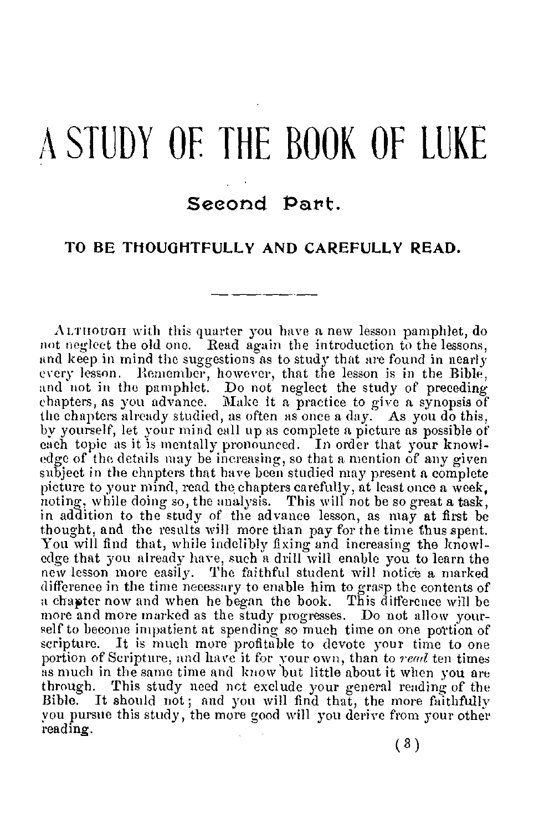# A STUDY OF THE BOOK OF LUKE

## Seeond Part.

## **TO BE THOUGHTFULLY AND CAREFULLY READ.**

A.Lrnouon with this quarter you have a new lesson pamphlet, do not neglect the old one. Read again the introduction to the lessons, and keep in mind the suggestions as to study that are found in nearly every lesson. Remember, however, that the lesson is in the Bible, and not in the pamphlet. Do not neglect the study of preceding chapters, as you advance. Make it a practice to give a synopsis of the chapters already studied, as often as once a day. As you do this, by yourself, let your mind call up as complete a picture as possible of each topic as it is mentally pronounced. In order that your knowledge of the details may be increasing, so that a mention of any given subject in the chapters that have been studied may present a complete picture to your mind, read the chapters carefully, at least once a week, noting, while doing so, the analysis. This will not be so great a task, in addition to the study of the advance lesson, as may at first be thought, and the results will more than pay for the time thus spent. You will find that, while indelibly fixing and increasing the knowledge that you already have, such a drill will enable you to learn the new lesson more easily. The faithful student will notice a marked difference in the time necessary to enable him to grasp the contents of a chapter now and when he began the book. This difference will be more and more marked as the study progresses. Do not allow yourself to become impatient at spending so much time on one portion of scripture. It is much more profitable to devote your time to one portion of Scripture, and have it for your own, than to *read t*en times<br>as much in the same time and know but little about it when you are through. This study need not exclude your general reading of the Bible. It should not ; and you will find that, the more faithfully you pursue this study, the more good will you derive from your other reading.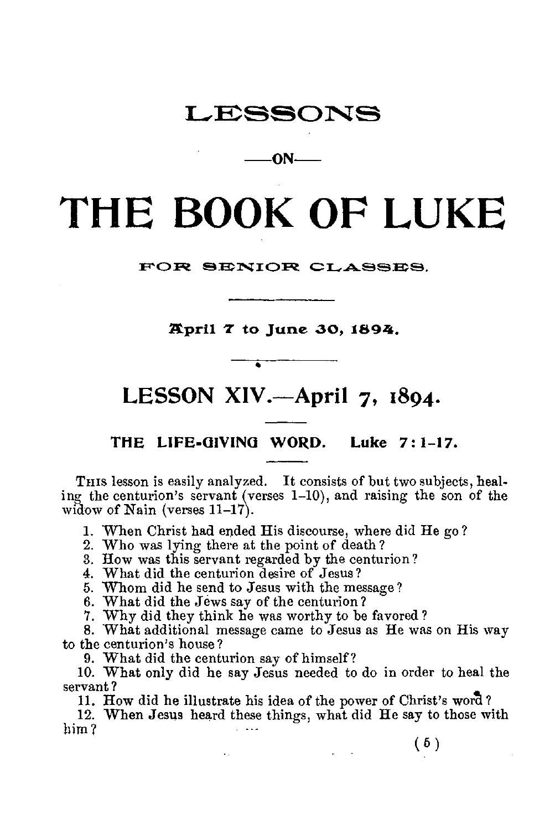## LESSONS

**—ON—** 

# **THE BOOK OF LUKE**

**FOR SENIOR CLASSES.** 

**April 7 to June 30, 1894,** 

# **LESSON XIV.—April 7, 1894.**

•

**THE LIFE-GIVING WORD. Luke 7:1-17.** 

THIS lesson is easily analyzed. It consists of but two subjects, healing the centurion's servant (verses 1-10), and raising the son of the widow of Nain (verses 11-17).

1. When Christ had ended His discourse, where did He go ?

2. Who was lying there at the point of death ?

3. How was this servant regarded by the centurion?

4. What did the centurion desire of Jesus?

5. Whom did he send to Jesus with the message?

6. What did the Jews say of the centurion?

7. Why did they think he was worthy to be favored ?

8. What additional message came to Jesus as He was on His way to the centurion's house?

9. What did the centurion say of himself?

 $\sim 10$ 

10. What only did he say Jesus needed to do in order to heal the servant ?

11. How did he illustrate his idea of the power of Christ's word?

12. When Jesus heard these things, what did He say to those with him ?

(5)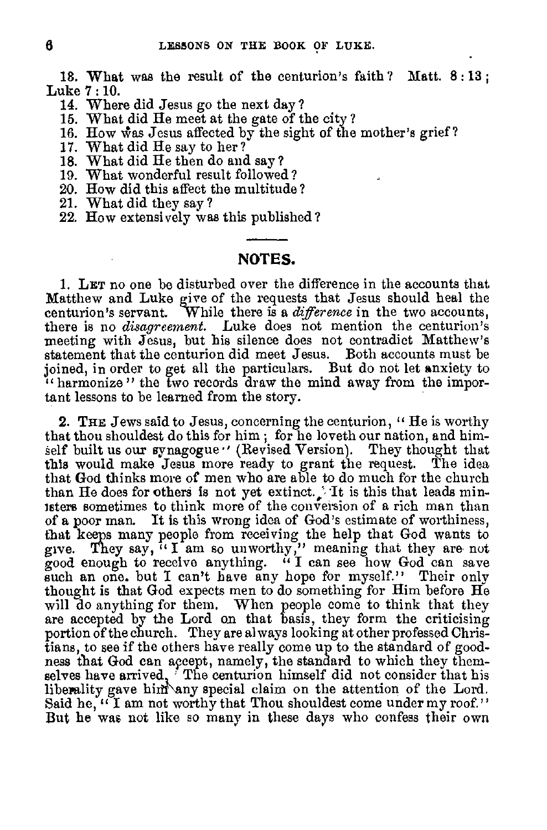18. What was the result of the centurion's faith ? Matt. 8 : 13 ; Luke 7 : **10.** 

- 14. Where did Jesus go the next day?
- 15. What did He meet at the gate of the city ?
- 16. How was Jesus affected by the sight of the mother's grief?
- 17. What did He say to her?
- 18. What did He then do and say?
- 
- 19. What wonderful result followed? 20. How did this affect the multitude?
- 21. What did they say?
- 22. How extensively was this published ?

## **NOTES.**

1. LET no one be disturbed over the difference in the accounts that Matthew and Luke give of the requests that Jesus should heal the centurion's servant. While there is a *difference* in the two accounts, there is no *disagreement*. Luke does not mention the centurion's meeting with Jesus, but his silence does not contradict Matthew's statement that the centurion did meet Jesus. Both accounts must be joined, in order to get all the particulars. But do not let anxiety to " harmonize " the two records draw the mind away from the important lessons to be learned from the story.

2. THE Jews said to Jesus, concerning the centurion, "He is worthy that thou shouldest do this for him ; for he loveth our nation, and himself built us our synagogue  $\prime\prime$  (Revised Version). They thought that this would make Jesus more ready to grant the request. The idea that God thinks more of men who are able to do much for the church than He does for others is not yet extinct. It is this that leads ministers sometimes to think more of the conversion of a rich man than of a poor man. It is this wrong idea of God's estimate of worthiness, that keeps many people from receiving the help that God wants to give. They say, " I am so unworthy," meaning that they are- not good enough to receive anything. " **I** can see how God can save such an one. but I can't have any hope for myself." Their only thought is that God expects men to do something for Him before He will do anything for them. When people come to think that they are accepted by the Lord on that basis, they form the criticising portion of the church. They are al ways looking at other professed Christians, to see if the others have really come up to the standard of goodness that God can apeept, namely, the standard to which they themselves have arrived, The centurion himself did not consider that his liberality gave him any special claim on the attention of the Lord. Said he, "I am not worthy that Thou shouldest come under my roof." But he was not like so many in these days who confess their own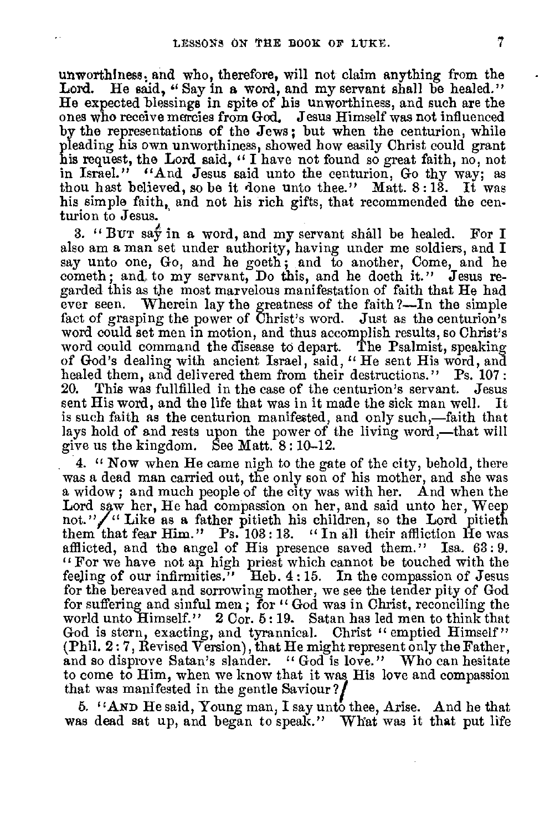unworthiness, and who, therefore, will not claim anything from the Lord. He said, "Say in a word, and my servant shall be healed." He said, "Say in a word, and my servant shall be healed." He expected blessings in spite of his unworthiness, and such are the ones who receive mercies from God. Jesus Himself was not influenced by the representations of the Jews ; but when the centurion, while pleading his own unworthiness, showed how easily Christ could grant his request, the Lord said, " I have not found so great faith, no, not in Israel." "And Jesus said unto the centurion, Go thy way; as thou hast believed, so be it done unto thee." Matt. 8 :13. It was his simple faith, and not his rich gifts, that recommended the centurion to Jesus.

3. "BUT say in a word, and my servant shall be healed. For I also am a man set under authority, having under me soldiers, and I say unto one, Go, and he goeth ; and to another, Come, and he cometh; and, to my servant, Do this, and he doeth it." Jesus regarded this as the most marvelous manifestation of faith that He had ever seen. Wherein lay the greatness of the faith 7—In the simple fact of grasping the power of Christ's word. Just as the centurion's word could set men in motion, and thus accomplish results, so Christ's word could command the disease to depart. The Psalmist, speaking of God's dealing with ancient Israel, said, " He sent His word, and healed them, and delivered them from their destructions." Ps. 107 : 20. This was fullfilled in the case of the centurion's servant. Jesus sent His word, and the life that was in it made the sick man well. It is such faith as the centurion manifested, and only such,—faith that lays hold of and rests upon the power of the living word,—that will give us the kingdom. See Matt. 8 : 10-12.

4. " Now when He came nigh to the gate of the city, behold, there was a dead man carried out, the only son of his mother, and she was a widow; and much people of the city was with her. And when the Lord saw her, He had compassion on her, and said unto her, Weep not." $\sqrt{ }$ " Like as a father pitieth his children, so the Lord pitieth them that fear Him." Ps. 103: 13. " In all their affliction He was afflicted, and the angel of His presence saved them." Isa. 63 : 9. " For we have not an high priest which cannot be touched with the feeling of our infirmities." Heb. 4 :15. In the compassion of Jesus for the bereaved and sorrowing mother, we see the tender pity of God for suffering and sinful men; for "God was in Christ, reconciling the world unto Himself." 2 Cor. 6 :19. Satan has led men to think that God is stern, exacting, and tyrannical. Christ " emptied Himself" (Phil. 2 : 7, Revised Version), that He might represent only the Father, and so disprove Satan's slander. "God is love." Who can hesitate to come to Him, when we know that it was His love and compassion that was manifested in the gentle Saviour 7/

6. "AND He said, Young man, I say unto thee, Arise. And he that was dead sat up, and began to speak." What was it that put life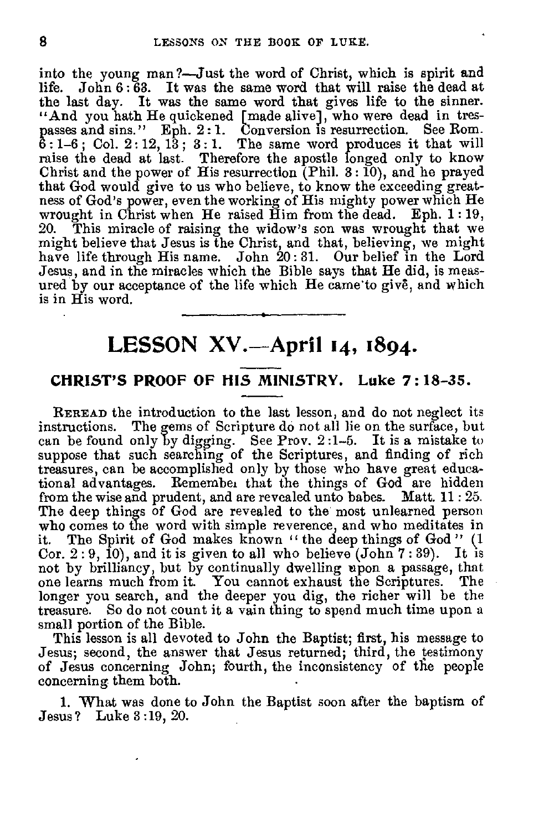into the young man?—Just the word of Christ, which is spirit and life. John 6 : 63. It was the same word that will raise the dead at the last day. It was the same word that gives life to the sinner. "And you hath He quickened [made alive], who were dead in trespasses and sins." Eph. 2: 1. Conversion is resurrection. See Rom. 6 :1-6 ; Col. 2 : 12, 13 ; 3 : 1. The same word produces it that will raise the dead at last. Therefore the apostle longed only to know Christ and the power of His resurrection (Phil. 3:10), and he prayed that God would give to us who believe, to know the exceeding greatness of God's power, even the working of His mighty power which He wrought in Christ when He raised Him from the dead. Eph. 1:19,<br>20. This miracle of raising the widow's son was wrought that we This miracle of raising the widow's son was wrought that we might believe that Jesus is the Christ, and that, believing, we might have life through His name. John  $20:31$ . Our belief in the Lord Jesus, and in the miracles which the Bible says that He did, is measured by our acceptance of the life which He came to give, and which is in His word.

## **LESSON XV.-April 14, 1894.**

## **CHRIST'S PROOF OF HIS MINISTRY. Luke 7:18-35.**

REREAD the introduction to the last lesson, and do not neglect its instructions. The gems of Scripture do not ail lie on the surface, but can be found only by digging. See Prov. 2 :1-5. It is a mistake to suppose that such searching of the Scriptures, and finding of rich treasures, can be accomplished only by those who have great educational advantages. Remembei that the things of God are hidden from the wise and prudent, and are revealed unto babes. Matt. 11:25. The deep things of God are revealed to the most unlearned person who comes to the word with simple reverence, and who meditates in<br>it. The Spirit of God makes known "the deep things of God" (1 The Spirit of God makes known " the deep things of God" (1 Cor.  $2:9, 10$ , and it is given to all who believe (John  $7:39$ ). It is not by brilliancy, but by continually dwelling upon a passage, that one learns much from it. You cannot exhaust the Scriptures. The longer you search, and the deeper you dig, the richer will be the treasure. So do not count it a vain thing to spend much time upon a small portion of the Bible.

This lesson is all devoted to John the Baptist; first, his message to Jesus; second, the answer that Jesus returned; third, the testimony of Jesus concerning John; fourth, the inconsistency of the people concerning them both.

1. What was done to John the Baptist soon after the baptism of Jesus? Luke 3 :19, 20.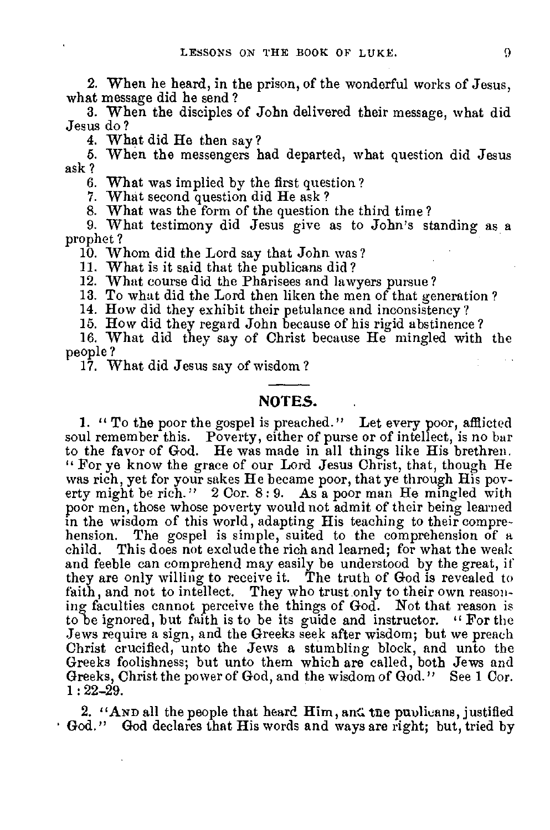2. When he heard, in the prison, of the wonderful works of Jesus, what message did he send ?

3. When the disciples of John delivered their message, what did Jesus do ?

4. What did He then say?

6. When the messengers had departed, what question did Jesus ask ?

6. What was implied by the first question?

7. What second question did He ask ?

8. What was the form of the question the third time?

9. What testimony did Jesus give as to John's standing as a prophet?

10. Whom did the Lord say that John was? 11. What is it said that the publicans did?

12. What course did the Pharisees and lawyers pursue?

13. To what did the Lord then liken the men of that generation ?

14. How did they exhibit their petulance and inconsistency?

15. How did they regard John because of his rigid abstinence?

16. What did they say of Christ because He mingled with the people ?

17. What did Jesus say of wisdom ?

## **NOTES.**

**1. "** To the poor the gospel is preached." Let every poor, afflicted soul remember this. Poverty, either of purse or of intellect, is no bar to the favor of God. He was made in all things like His brethren. " For ye know the grace of our Lord Jesus Christ, that, though He was rich, yet for your sakes He became poor, that ye through His poverty might be rich." 2 Cor. 8: 9. As a poor man He mingled with poor men, those whose poverty would not admit of their being learned in the wisdom of this world, adapting His teaching to their comprehension. The gospel is simple, suited to the comprehension of a child. This does not exclude the rich and learned; for what the weak and feeble can comprehend may easily be understood by the great, if they are only willing to receive it. The truth of God is revealed to faith, and not to intellect. They who trust only to their own reasoning faculties cannot perceive the things of God. Not that reason is to be ignored, but faith is to be its guide and instructor. " For the Jews require a sign, and the Greeks seek after wisdom; but we preach Christ crucified, unto the Jews a stumbling block, and unto the Greeks foolishness; but unto them which are called, both Jews and Greeks,Christ the power of God, and the wisdom of God." See 1 Cor.  $1:22-29.$ 

2. "AND all the people that heard  $\bf{H}$ im, and the publicans, justified God." God declares that His words and ways are right; but, tried by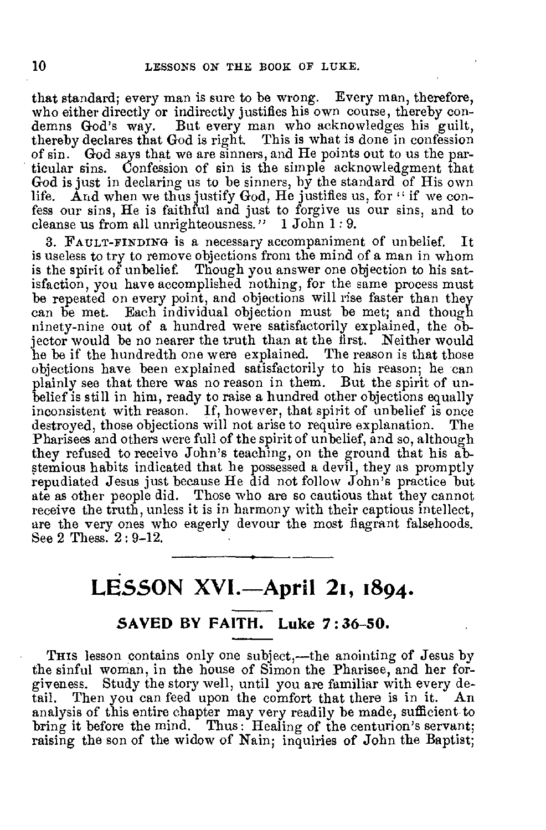that standard; every man is sure to be wrong. Every man, therefore, who either directly or indirectly justifies his own course, thereby condemns God's way. But every man who acknowledges his guilt, thereby declares that God is right. This is what is done in confession of sin. God says that we are sinners, and He points out to us the particular sins. Confession of sin is the simple acknowledgment that God is just in declaring us to be sinners, by the standard of His own life. And when we thus justify  $G_{od}$ , He justifies us, for " if we confess our sins, He is faithful and just to forgive us our sins, and to cleanse us from all unrighteousness." 1 John 1: 9.

3. FAULT-FINDING iS a necessary accompaniment of unbelief. It is useless to try to remove objections from the mind of a man in whom is the spirit of unbelief. Though you answer one objection to his satisfaction, you have accomplished nothing, for the same process must be repeated on every point, and objections will rise faster than they can be met. Each individual objection must be met; and though ninety-nine out of a hundred were satisfactorily explained, the objector would be no nearer the truth than at the first. Neither would he be if the hundredth one were explained. The reason is that those objections have been explained satisfactorily to his reason; he can plainly see that there was no reason in them. But the spirit of unbelief is still in him, ready to raise a hundred other objections equally inconsistent with reason. If, however, that spirit of unbelief is once destroyed, those objections will not arise to require explanation. The Pharisees and others were full of the spirit of unbelief, and so, although they refused to receive John's teaching, on the ground that his abstemious habits indicated that he possessed a devil, they as promptly repudiated Jesus just because He did not follow John's practice but ate as other people did. Those who are so cautious that they cannot receive the truth, unless it is in harmony with their captious intellect, are the very ones who eagerly devour the most flagrant falsehoods. See 2 Thess. 2 : 9-12.

# **LESSON XVI.-April 21, 1894.**

## **SAVED BY FAITH. Luke 7:36-50.**

THIS lesson contains only one subject,—the anointing of Jesus by the sinful woman, in the house of Simon the Pharisee, and her forgiveness. Study the story well, until you are familiar with every detail. Then you can feed upon the comfort that there is in it. An Then you can feed upon the comfort that there is in it.  $An$ analysis of this entire chapter may very readily be made, sufficient to bring it before the mind. Thus : Healing of the centurion's servant; raising the son of the widow of Nain; inquiries of John the Baptist;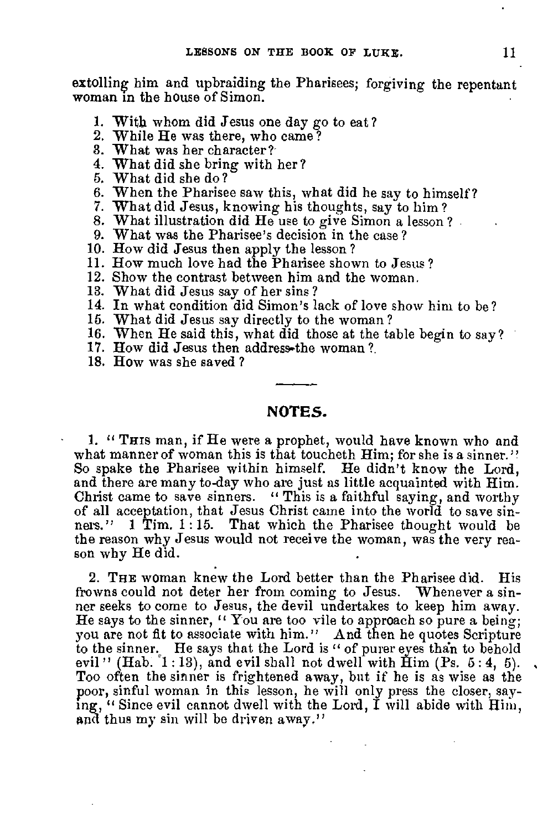extolling him and upbraiding the Pharisees; forgiving the repentant woman in the house of Simon.

- 1. With whom did Jesus one day go to eat?
- 2. While He was there, who came?
- 3. What was her character?
- 4. What did she bring with her? 5. What did she do?
- 
- 6. When the Pharisee saw this, what did he say to himself? 7. What did Jesus, knowing his thoughts, say to him ?
- 
- 8. What illustration did He use to give Simon a lesson ? 9. What was the Pharisee's decision in the case ?
- 
- 10. How did Jesus then apply the lesson ?
- 11. How much love had the Pharisee shown to Jesus?
- 12. Show the contrast between him and the woman.
- 13. What did Jesus say of her sins?
- 14. In what condition did Simon's lack of love show him to be?
- 15. What did Jesus say directly to the woman?
- 16. When He said this, what did those at the table begin to say?
- 17. How did Jesus then address-the woman?
- 18. How was she saved ?

## **NOTES.**

1. " This man, if He were a prophet, would have known who and what manner of woman this is that toucheth Him; for she is a sinner.'' So spake the Pharisee within himself. He didn't know the Lord, and there are many to-day who are just as little acquainted with Him. Christ came to save sinners. "This is a faithful saying, and worthy of all acceptation, that Jesus Christ came into the world to save sinners." 1 Tim.  $1:15$ . That which the Pharisee thought would be the reason why Jesus would not receive the woman, was the very reason why He did.

2. THE woman knew the Lord better than the Pharisee did. His frowns could not deter her from coming to Jesus. Whenever a sinner seeks to come to Jesus, the devil undertakes to keep him away. He says to the sinner, " You are too vile to approach so pure a being; you are not fit to associate with him." And then he quotes Scripture to the sinner. He says that the Lord is " of purer eyes than to behold evil" (Hab.  $1:13$ ), and evil shall not dwell with  $\tilde{H}$ im (Ps. 5:4, 5). Too often the sinner is frightened away, but if he is as wise as the poor, sinful woman in this lesson, he will only press the closer, saying, " Since evil cannot dwell with the Lord,  $\tilde{I}$  will abide with  $\tilde{H}$ im, and thus my sin will be driven away."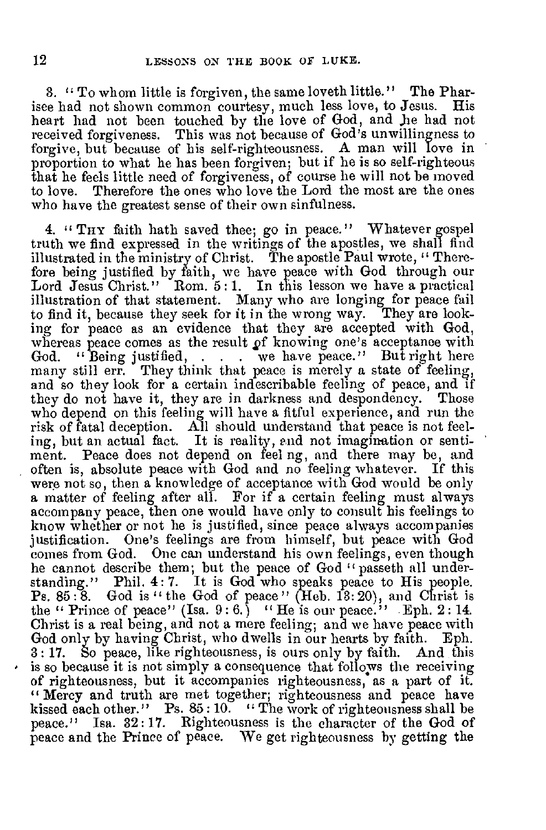3. " To whom little is forgiven, the same loveth little." The Pharisee bad not shown common courtesy, much less love, to Jesus. His heart had not been touched by the love of God, and he had not received forgiveness. This was not because of God's unwillingness to forgive, but because of his self-righteousness. A man will love in proportion to what he has been forgiven; but if he is so self-righteous that he feels little need of forgiveness, of course he will not be moved to love. Therefore the ones who love the Lord the most are the ones who have the greatest sense of their own sinfulness.

4. "THY faith hath saved thee; go in peace." Whatever gospel truth we find expressed in the writings of the apostles, we shall find illustrated in the ministry of Christ. The apostle Paul wrote, " Therefore being justified by faith, we have peace with God through our Lord Jesus Christ." Rom. 5:1. In this lesson we have a practical illustration of that statement. Many who are longing for peace fail to find it, because they seek for it in the wrong way. They are looking for peace as an evidence that they are accepted with God, whereas peace comes as the result of knowing one's acceptance with God. "But right here "Being justified, . . . we have peace." But right here many still err. They think that peace is merely a state of feeling, and so they look for a certain indescribable feeling of peace, and if they do not have it, they are in darkness and despondency. Those who depend on this feeling will have a fitful experience, and run the risk of fatal deception. All should understand that peace is not feel-ing, but an actual fact. It is reality, end not imagination or sentiment. Peace does not depend on feel ng, and there may be, and often is, absolute peace with God and no feeling whatever. If this were not so, then a knowledge of acceptance with God would be only a matter of feeling after all. For if a certain feeling must always accompany peace, then one would have only to consult his feelings to know whether or not he is justified, since peace always accompanies justification. One's feelings are from himself, but peace with God comes from God. One can understand his own feelings, even though he cannot describe them; but the peace of God " passeth all understanding." Phil. 4: 7. It is God who speaks peace to His people. Ps. 85 : 8. God is " the God of peace " (Heb. 13: 20), and Christ is the " Prince of peace" (Isa. 9 : 6.) " He is our peace." Eph. 2 : 14. Christ is a real being, and not a mere feeling; and we have peace with God only by having Christ, who dwells in our hearts by faith. Eph. 3 : 17. So peace, like righteousness, is ours only by faith. And this is so because it is not simply a consequence that follows the receiving of righteousness, but it accompanies righteousness, as a part of it. "Mercy and truth are met together; righteousness and peace have kissed each other." Ps. 85:10. "The work of righteousness shall be peace." Isa. 32: 17. Righteousness is the character of the God of peace and the Prince of peace. We get righteousness by getting the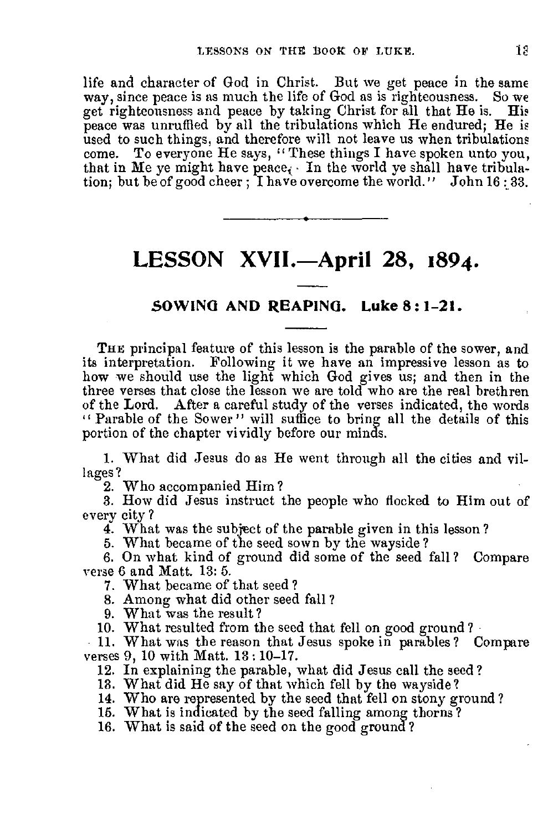life and character of God in Christ. But we get peace in the same way, since peace is as much the life of God as is righteousness. So we  $way$ , since peace is as much the life of God as is righteousness. get righteousness and peace by taking Christ for all that He is. His peace was unruffled by all the tribulations which He endured; He is used to such things, and therefore will not leave us when tribulations come. To everyone He says, " These things I have spoken unto you, that in Me ye might have peace. In the world ye shall have tribulation; but be of good cheer ; I have overcome the world." John 16:33.

## **LESSON XVII.-April 28, 1894.**

## **SOWING AND REAPING. Luke 8: 1-21.**

THE principal feature of this lesson is the parable of the sower, and its interpretation. Following it we have an impressive lesson as to how we should use the light which God gives us; and then in the three verses that close the lesson we are told who are the real brethren of the Lord. After a careful study of the verses indicated, the words " Parable of the Sower " will suffice to bring all the details of this portion of the chapter vividly before our minds.

1. What did Jesus do as He went through all the cities and villages?

2. Who accompanied Him ?

3. How did Jesus instruct the people who flocked to Him out of every city ?

4. What was the subject of the parable given in this lesson?

5. What became of the seed sown by the wayside?

6. On what kind of ground did some of the seed fall? Compare verse 6 and Matt. 13: 5.

7. What became of that seed?

8. Among what did other seed fall ?

9. What was the result?

10. What resulted from the seed that fell on good ground?

11. What was the reason that Jesus spoke in parables? Compare verses 9, 10 with Matt. 13 : 10-17.

12. In explaining the parable, what did Jesus call the seed?

13. What did He say of that which fell by the wayside?

14. Who are represented by the seed that fell on stony ground ?

16. What is indicated by the seed falling among thorns?

16. What is said of the seed on the good ground?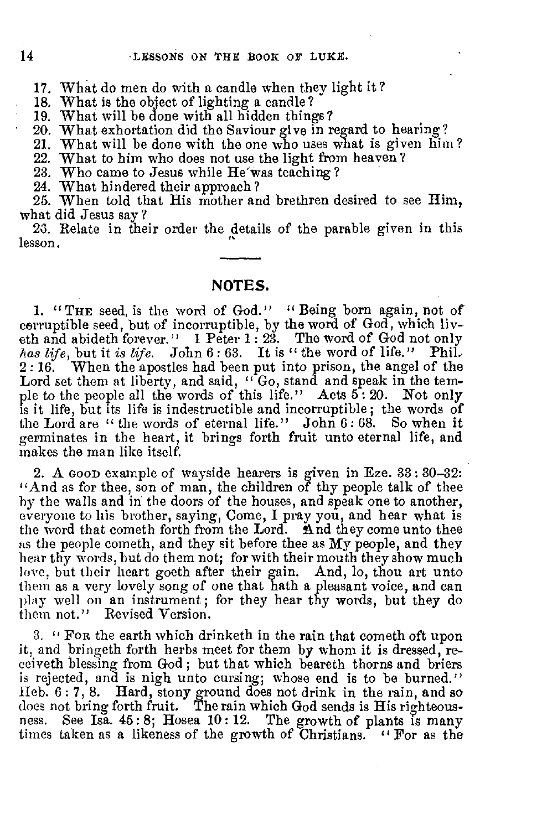17. What do men do with a candle when they light it?

18. What is the object of lighting a candle?

19. What will be done with all bidden things? 20. What exhortation did the Saviour give in regard to hearing? 21. What will be done with the one who uses what is given him?

22. What to him who does not use the light from heaven? 23. Who came to Jesus while He'was teaching ?

24. What hindered their approach ? 25. When told that His mother and brethren desired to see Him, what did Jesus say ?

23. Relate in their order the details of the parable given in this lesson.

#### **NOTES.**

**1. "**THE seed, is the word of God." "Being born again, not of corruptible seed, but of incorruptible, by the word of God, which liveth and abideth forever." 1 Peter 1: 23. The word of God not only *loss life,* but it *is life.* John 6 : 63. It is " the word of life." Phil. When the apostles had been put into prison, the angel of the Lord set them at liberty, and said, "Go, stand and speak in the temple to the people all the words of this life." Acts 5: 20. Not only is it life, but its life is indestructible and incorruptible; the words of the Lord are " the words of eternal life." John  $6:68$ . So when it germinates in the heart, it brings forth fruit unto eternal life, and makes the man like itself.

2. A GOOD example of wayside hearers is given in Eze. 33 : 30-32: "And as for thee, son of man, the children of thy people talk of thee by the walls and in the doors of the houses, and speak one to another, everyone to his brother, saying, Come, I pray you, and hear what is the word that cometh forth from the Lord. And they come unto thee as the people cometh, and they sit before thee as My people, and they hear thy words, but do them not; for with their mouth they show much love, but their heart goeth after their gain. And, lo, thou art unto them as a very lovely song of one that hath a pleasant voice, and can play- well on an instrument; for they hear thy words, but they do them not." Revised Version.

3. " FOR the earth which drinketh in the rain that cometh oft upon it, and bringeth forth herbs meet for them by whom it is dressed, receiveth blessing from God ; but that which beareth thorns and briers is rejected, and is nigh unto cursing; whose end is to be burned." Heb. 6: 7, 8. Hard, stony ground does not drink in the rain, and so does not bring forth fruit. The rain which God sends is His righteousness. See Isa. 45: 8; Hosea 10: 12. The growth of plants is many times taken as a likeness of the growth of Christians. " For as the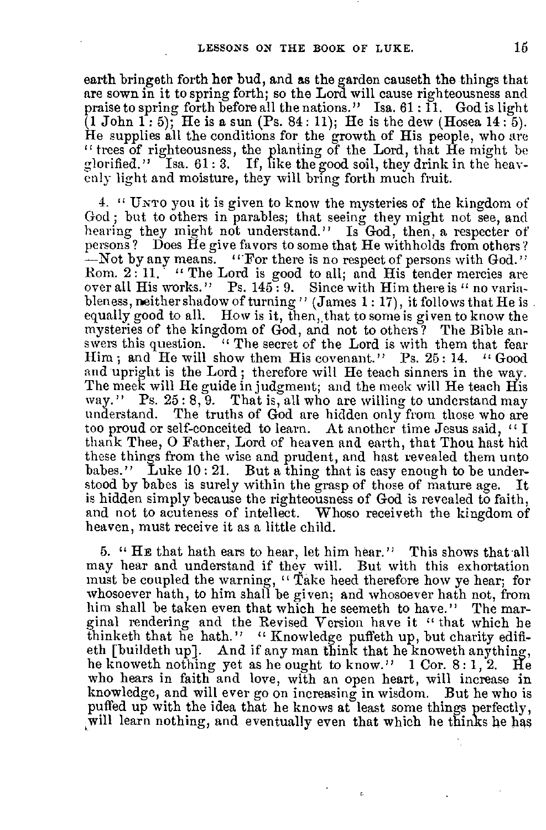earth bringeth forth her bud, and as the garden causeth the things that are sown in it to spring forth; so the Lord will cause righteousness and praise to spring forth before all the nations." Isa. 61: II. God is light (1 John 1: 5); He is a sun (Ps. 84 : 11); He is the dew (Hosea 14 : 5). He supplies all the conditions for the growth of His people, who are " trees of righteousness, the planting of the Lord, that He might be glorified." Isa.  $61:3.$  If, like the good soil, they drink in the heavenly light and moisture, they will bring forth much fruit.

4. " UNTO you it is given to know the mysteries of the kingdom of God ; but to others in parables; that seeing they might not see, and hearing they might not understand." Is God, then, a respecter of persons ? Does He give favors to some that He withholds from others ? —Not by any means. "For there is no respect of persons with God." Rom. 2 : 11. " The Lord is good to all; and His tender mercies are over all His works." Ps. 145: 9. Since with Him there is " no variableness, neither shadow of turning" (James 1: 17), it follows that He is. equally good to all. How is it, then, that to some is given to know the mysteries of the kingdom of God, and not to others? The Bible answers this question. " The secret of the Lord is with them that fear Him; and He will show them His covenant." Ps. 25:14. "Good and upright is the Lord ; therefore will He teach sinners in the way. The meek will He guide in judgment; and the meek will He teach His way." Ps. 25:8, 9. That is, all who are willing to understand may understand. The truths of God are hidden only from those who are too proud or self-conceited to learn. At another time Jesus said, " I thank Thee, 0 Father, Lord of heaven and earth, that Thou hast hid these things from the wise and prudent, and hast revealed them unto babes." Luke 10: 21. But a thing that is easy enough to be understood by babes is surely within the grasp of those of mature age. It is hidden simply because the righteousness of God is revealed to faith, and not to acuteness of intellect. Whoso receiveth the kingdom of heaven, must receive it as a little child.

6. " HE that hath ears to hear, let him hear." This shows that all may hear and understand if they will. But with this exhortation must be coupled the warning, "Take heed therefore how ye hear; for whosoever bath, to him shall be given; and whosoever hath not, from him shall be taken even that which he seemeth to have." The marginal rendering and the Revised Version have it " that which he thinketh that he hath." " Knowledge puffeth up, but charity edifieth [buildeth up]. And if any man think that he knoweth anything, he knoweth nothing yet as he ought to know." 1 Cor. 8:1, 2. He who hears in faith and love, with an open heart, will increase in knowledge, and will ever go on increasing in wisdom. But he who is puffed up with the idea that he knows at least some things perfectly, will learn nothing, and eventually even that which he thinks he has

ç.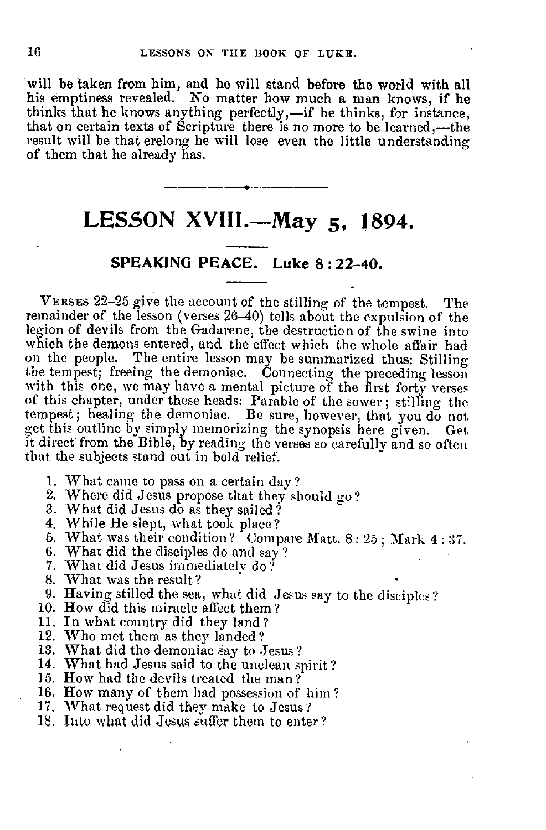will be taken from him, and he will stand before the world with all his emptiness revealed. No matter how much a man knows, if he thinks that he knows anything perfectly,—if he thinks, for instance, that on certain texts of Scripture there is no more to be learned,—the result will be that erelong he will lose even the little understanding of them that he already has.

# **LESSON XV111.—May 5, 1894.**

## **SPEAKING PEACE. Luke 8:22-40.**

VERSES 22-25 give the account of the stilling of the tempest. The remainder of the lesson (verses 26-40) tells about the expulsion of the legion of devils from the Gadarene, the destruction of the swine into which the demons entered, and the effect which the whole affair had on the people. The entire lesson may be summarized thus: Stilling the tempest; freeing the demoniac. Connecting the preceding lesson with this one, we may have a mental picture of the first forty verses of this chapter, under these heads: Parable of the sower; stilling the tempest; healing the demoniac. Be sure, however, that you do not get this outline by simply memorizing the synopsis here given. Get it direct from the Bible, by reading the verses so carefully and so often that the subjects stand out in bold relief.

- 1. What came to pass on a certain day?
- 2. Where did Jesus propose that they should go?
- 3. What did Jesus do as they sailed?
- 
- 4. While He slept, what took place? 5. What was their condition? Compare Matt. 8 : 25 ; Mark 4 : 37.
- 6. What did the disciples do and say ? 7. What did Jesus immediately do?
- 
- 8. What was the result?
- 9. Having stilled the sea, what did Jesus say to the disciples?
- 10. How did this miracle affect them? 11. In what country did they land ?
- 
- 
- 
- 12. Who met them as they landed ? 13. What did the demoniac say to Jesus? 14. What had Jesus said to the unclean spirit? 15. How had the devils treated the man?
- 
- 16. How many of them had possession of him ?
- 17. What request did they make to Jesus?
- IS, Into what did Jesus suffer them to enter?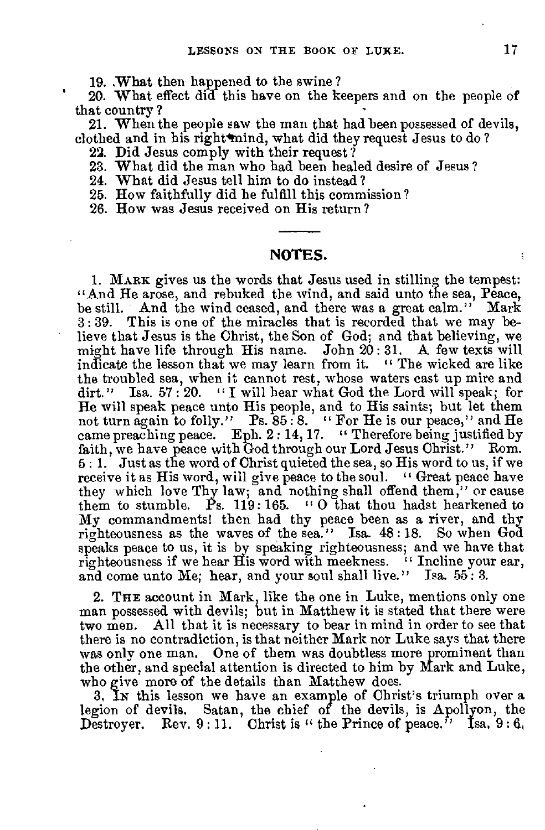19. What then happened to the swine ?

' 20. What effect did this have on the keepers and on the people of that country ?

21. When the people saw the man that had been possessed of devils, clothed and in his right mind, what did they request Jesus to do?

22. Did Jesus comply with their request?

23. What did the man who had been healed desire of Jesus?

24. What did Jesus tell him to do instead ?

25. How faithfully did he fulfill this commission?

26. How was Jesus received on His return?

### **NOTES.**

1. MARK gives us the words that Jesus used in stilling the tempest: "And He arose, and rebuked the wind, and said unto the sea, Peace, be still. And the wind ceased, and there was a great calm." Mark 3 : 39. This is one of the miracles that is recorded that we may believe that Jesus is the Christ, the Son of God; and that believing, we might have life through His name. John 20 : 31. A few texts will indicate the lesson that we may learn from it. " The wicked are like the troubled sea, when it cannot rest, whose waters cast up mire and dirt." Isa. 57:20. "I will hear what God the Lord will speak; for He will speak peace unto His people, and to His saints; but let them not turn again to folly." Ps.  $85 \cdot 8$ . " For He is our peace," and He came preaching peace. Eph. 2: 14, 17. " Therefore being justified by faith, we have peace with God through our Lord Jesus Christ." Rom. 5 : 1. Just as the word of Christ quieted the sea, so His word to us, if we receive it as His word, will give peace to the soul. "Great peace have they which love Thy law; and nothing shall offend them," or cause them to stumble. Ps. 119:165. "O that thou hadst hearkened to My commandments! then had thy peace been as a river, and thy righteousness as the waves of the sea." Isa. 48 : 18. So when God speaks peace to us, it is by speaking righteousness; and we have that righteousness if we hear His word with meekness. "Incline your ear, and come unto Me; hear, and your soul shall live." Isa. 55: 3.

**2. THE** account in Mark, like the one in Luke, mentions only one man possessed with devils; but in Matthew it is stated that there were two men. All that it is necessary to bear in mind in order to see that there is no contradiction, is that neither Mark nor Luke says that there was only one man. One of them was doubtless more prominent than the other, and special attention is directed to him by Mark and Luke, who give more of the details than Matthew does.

3, Ix this lesson we have an example of Christ's triumph over a legion of devils. Satan, the chief of the devils, is Apollyon, the Destroyer. Rev.  $9:11.$  Christ is " the Prince of peace," Isa,  $9:6$ ,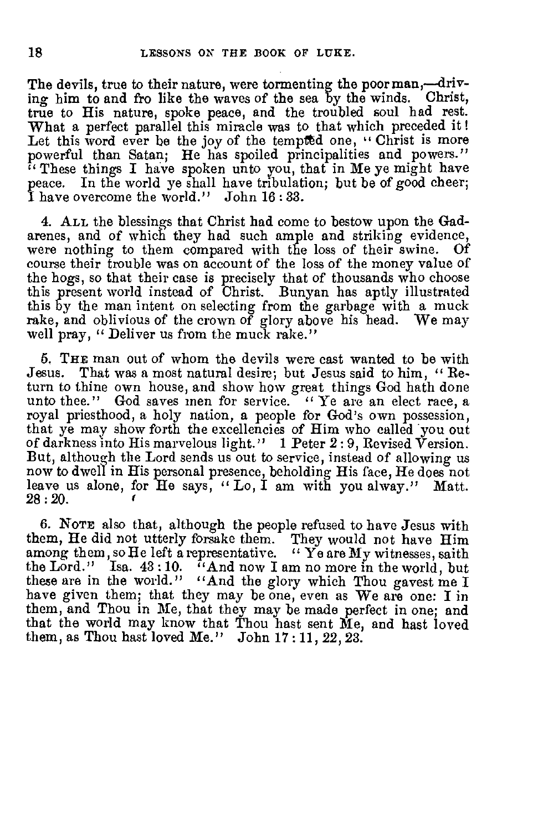The devils, true to their nature, were tormenting the poor man,—driving him to and fro like the waves of the sea by the winds. Christ, true to His nature, spoke peace, and the troubled soul had rest. What a perfect parallel this miracle was to that which preceded it! Let this word ever be the joy of the tempted one, " Christ is more powerful than Satan; He has spoiled principalities and powers." " These things I have spoken unto you, that in Me ye might have peace. In the world ye shall have tribulation; but be of good cheer; I have overcome the world." John 16 : 33.

4. ALL the blessings that Christ had come to bestow upon the Gadarenes, and of which they had such ample and striking evidence, were nothing to them compared with the loss of their swine. Of course their trouble was on account of the loss of the money value of the hogs, so that their case is precisely that of thousands who choose this present world instead of Christ. Bunyan has aptly illustrated this by the man intent on selecting from the garbage with a muck rake, and oblivious of the crown of glory above his head. We may well pray, " Deliver us from the muck rake."

6. THE man out of whom the devils were cast wanted to be with Jesus. That was a most natural desire; but Jesus said to him, " Return to thine own house, and show how great things God hath done unto thee." God saves men for service. " Ye are an elect race, a royal priesthood, a holy nation, a people for God's own possession, that ye may show forth the excellencies of Him who called you out of darkness into His marvelous light." 1 Peter 2 : 9, Revised Version. But, although the Lord sends us out to service, instead of allowing us now to dwell in His personal presence, beholding His face, He does not leave us alone, for He says, "Lo, I am with you alway." Matt. 28 : 20.

6. NOTE also that, although the people refused to have Jesus with them, He did not utterly forsake them. They would not have Him among them, so He left a representative. " Ye are My witnesses, saith the Lord." Isa. 43:10. "And now I am no more in the world, but these are in the world." "And the glory which Thou gavest me I have given them; that they may be one, even as We are one: I in them, and Thou in Me, that they may be made perfect in one; and that the world may know that Thou hast sent Me, and hast loved them, as Thou hast loved Me." John 17 : 11, 22, 23.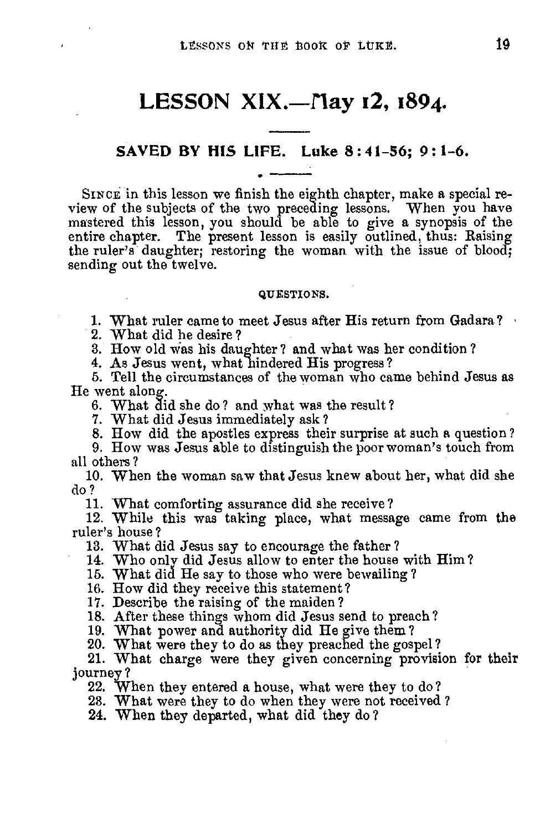## LESSON XIX.—May 12, 1894.

#### **SAVED BY HIS LIFE. Luke 8 : 4 1-56; 9: 1-6.**

SINCE in this lesson we finish the eighth chapter, make a special review of the subjects of the two preceding lessons. When you have mastered this lesson, you should be able to give a synopsis of the entire chapter. The present lesson is easily outlined, thus: Raising the ruler's daughter; restoring the woman with the issue of blood; sending out the twelve.

#### QUESTIONS.

1. What ruler came to meet Jesus after His return from Gadara?

2. What did he desire?

3. How old was his daughter? and what was her condition?

4. As Jesus went, what hindered His progress?

5. Tell the circumstances of the woman who came behind Jesus as He went along.

6. What did she do? and what was the result?

7. What did Jesus immediately ask?

8. How did the apostles express their surprise at such a question?

9. How was Jesus able to distinguish the poor woman's touch from all others?

10. When the woman saw that Jesus knew about her, what did she do ?

11. What comforting assurance did she receive?

12. While this was taking place, what message came from the ruler's house?

13. What did Jesus say to encourage the father?

14. Who only did Jesus allow to enter the house with Him ?

15. What did He say to those who were bewailing? 16. How did they receive this statement?

17. Describe the raising of the maiden?

18. After these things whom did Jesus send to preach?

19. What power and authority did He give them? 20. What were they to do as they preached the gospel?

21. What charge were they given concerning provision for their journey ?

22. When they entered a house, what were they to do?

23. What were they to do when they were not received ?

24. When they departed, what did they do?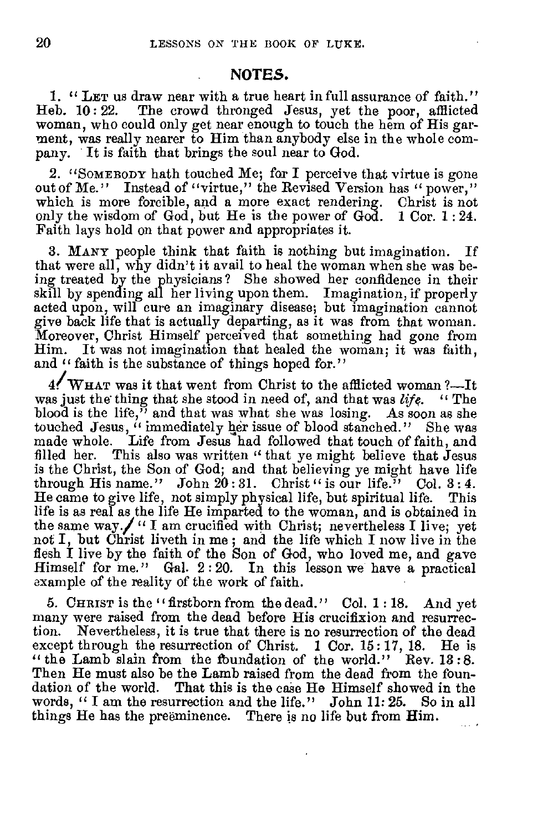#### **NOTES.**

1. " LET us draw near with a true heart in full assurance of faith."<br>Heb. 10:22. The crowd thronged Jesus, yet the poor, afflicted The crowd thronged Jesus, yet the poor, afflicted woman, who could only get near enough to touch the hem of His garment, was really nearer to Him than anybody else in the whole company. It is faith that brings the soul near to God.

2. "SOMEBODY hath touched Me; for I perceive that virtue is gone out of Me." Instead of "virtue," the Revised Version has "power," which is more forcible, and a more exact rendering. Christ is not only the wisdom of God, but He is the power of God. 1 Cor. 1 : 24. Faith lays hold on that power and appropriates it.

3. MANY people think that faith is nothing but imagination. If that were all, why didn't it avail to heal the woman when she was being treated by the physicians? She showed her confidence in their skill by spending all her living upon them. Imagination, if properly acted upon, will cure an imaginary disease; but imagination cannot give back life that is actually departing, as it was from that woman. Moreover, Christ Himself perceived that something had gone from Him. It was not imagination that healed the woman; it was faith, and " faith is the substance of things hoped for."

4/WHAT was it that went from Christ to the afflicted woman?—It was just the thing that she stood in need of, and that was *life. "* The blood is the life," and that was what she was losing. As soon as she touched Jesus, " immediately her issue of blood stanched." She was made whole. Life from Jesus had followed that touch of faith, and filled her. This also was written " that ye might believe that Jesus is the Christ, the Son of God; and that believing ye might have life through His name." John  $20:31$ . Christ " is our life." Col. 3:4. He came to give life, not simply physical life, but spiritual life. This life is as real as the life He imparted to the woman, and is obtained in the same way.  $\int$  " I am crucified with Christ; nevertheless I live; yet not I, but Christ liveth in me ; and the life which I now live in the flesh I live by the faith of the Son of God, who loved me, and gave Himself for me." Gal. 2 : 20. In this lesson we have a practical example of the reality of the work of faith.

5. CHRIST is the "firstborn from the dead." Col. 1 : 18. And yet many were raised from the dead before His crucifixion and resurrection. Nevertheless, it is true that there is no resurrection of the dead except through the resurrection of Christ. 1 Cor. 15:17, 18. He is "the Lamb slain from the foundation of the world." Rev. 13:8. Then He must also be the Lamb raised from the dead from the foundation of the world. That this is the case He Himself showed in the words, "I am the resurrection and the life." John 11:25. So in all words, " I am the resurrection and the life." John 11: 25. things He has the preeminence. There is no life but from Him.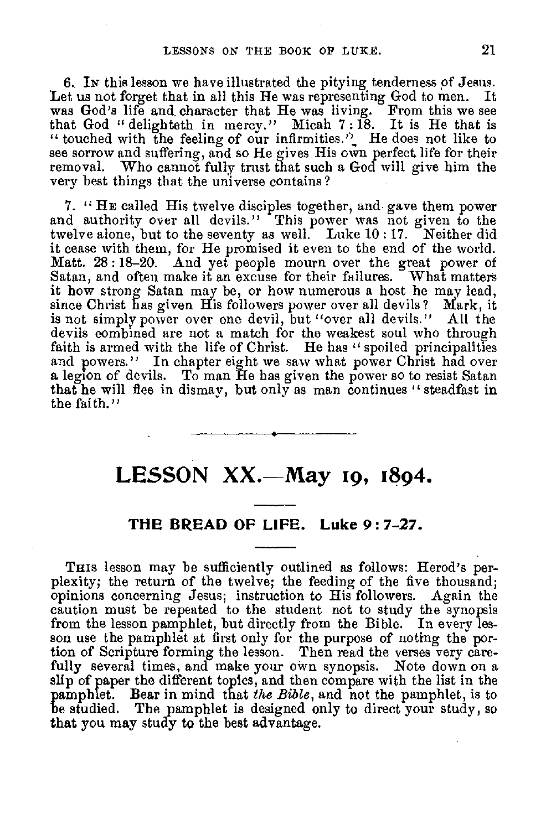6. Ix this lesson we have illustrated the pitying tenderness of Jesus. Let us not forget that in all this He was representing God to men. It was God's life and character that He was living. From this we see that God " delighteth in mercy." Micah 7 :18. It is He that is " touched with the feeling of our infirmities." He does not like to see sorrow and suffering, and so He gives His own perfect, life for their removal. Who cannot fully trust that such a God will give him the very best things that the universe contains?

7. " **HE** called His twelve disciples together, and gave them power and authority over all devils." This power was not given to the twelve alone, but to the seventy as well. Luke 10 : 17. Neither did it cease with them, for He promised it even to the end of the world. Matt. 28: 18-20. And yet people mourn over the great power of Satan, and often make it an excuse for their failures. What matters it how strong Satan may be, or how numerous a host he may lead, since Christ has given His followers power over all devils ? Mark, it is not simply power over one devil, but "over all devils." All the devils combined are not a match for the weakest soul who through faith is armed with the life of Christ. He has "spoiled principalities and powers." In chapter eight we saw what power Christ had over a legion of devils. To man He has given the power so to resist Satan that he will flee in dismay, but only as man continues " steadfast in the faith."

## **LESSON XX.—May 19, 1894.**

## **THE BREAD OF LIFE. Luke 9:7-27.**

THIS lesson may be sufficiently outlined as follows: Herod's perplexity; the return of the twelve; the feeding of the five thousand; opinions concerning Jesus; instruction to His followers. Again the caution must be repeated to the student not to study the synopsis from the lesson pamphlet, but directly from the Bible. In every lesson use the pamphlet at first only for the purpose of noting the portion of Scripture forming the lesson. Then read the verses very carefully several times, and make your own synopsis. Note down on a slip of paper the different topics, and then compare with the list in the pamphlet. Bear in mind that *the Bible,* and not the pamphlet, is to be studied. The pamphlet is designed only to direct your study, so that you may study to the best advantage.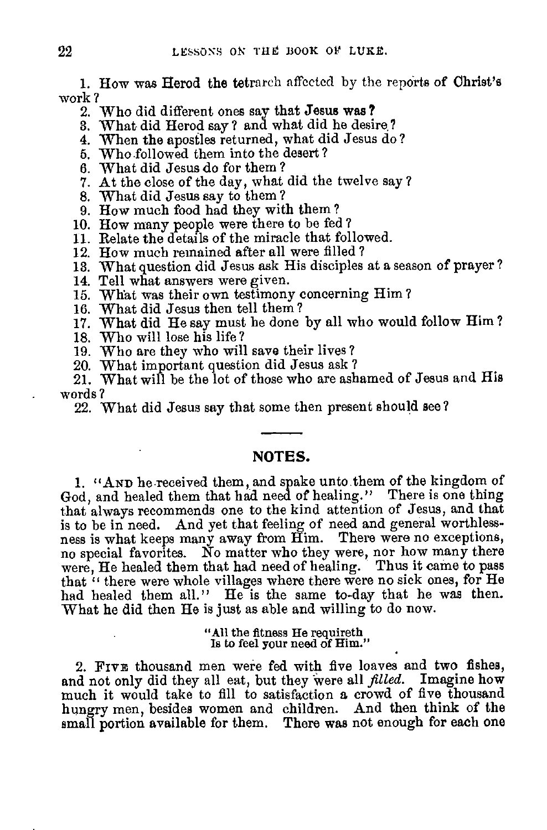1. How was Herod the tetrarch affected by the reports of Christ's work ?

2. Who did different ones say that Jesus was?

3. What did Herod say? and what did he desire.?

4. When the apostles returned, what did Jesus do?

5. Who followed them into the desert?

6. What did Jesus do for them ?

7. At the close of the day, what did the twelve say ?

8. What did Jesus say to them ?

9. How much food had they with them?

10. How many people were there to be fed ?

11. Relate the details of the miracle that followed.

12. How much remained after all were filled ?

13. What question did Jesus ask His disciples at a season of prayer?

14. Tell what answers were given.

15. What was their own testimony concerning Him ?

16. W hat did Jesus then tell them ? 17. What did He say must be done by all who would follow Him ?

18. Who will lose his life?

19. Who are they who will save their lives ?

20. What important question did Jesus ask ?

21. What will be the lot of those who are ashamed of Jesus and His words ?

22. What did Jesus say that some then present should see?

## NOTES.

1. "AND he received them, and spake unto them of the kingdom of God, and healed them that had need of healing." There is one thing that always recommends one to the kind attention of Jesus, and that is to be in need. And yet that feeling of need and general worthlessness is what keeps many away from Him. There were no exceptions, no special favorites. No matter who they were, nor how many there were, He healed them that had need of healing. Thus it came to pass that " there were whole villages where there were no sick ones, for He had healed them all." He is the same to-day that he was then. What he did then He is just as able and willing to do now.

> "All the fitness He requireth Is to feel your need of Him."

2. FIVE thousand men were fed with five loaves and two fishes, and not only did they all eat, but they were all *filled.* Imagine how much it would take to fill to satisfaction a crowd of five thousand hungry men, besides women and children. And then think of the small portion available for them. There was not enough for each one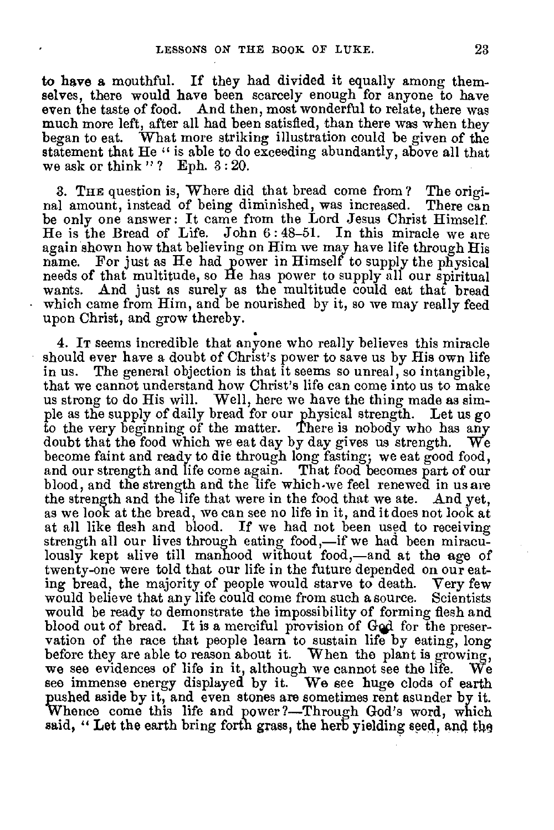to have a mouthful. If they had divided it equally among themselves, there would have been scarcely enough for anyone to have even the taste of food. And then, most wonderful to relate, there was much more left, after all had been satisfied, than there was when they began to eat. W hat more striking illustration could be given of the statement that He " is able to do exceeding abundantly, above all that we ask or think "? Eph. 3:20.

3. THE question is, Where did that bread come from ? The origi-<br>I amount, instead of being diminished, was increased. There can nal amount, instead of being diminished, was increased. be only one answer : It came from the Lord Jesus Christ Himself. He is the Bread of Life. John 6 : 48-51. In this miracle we are again shown how that believing on Him we may have life through His name. For just as He had power in Himself to supply the physical needs of that multitude, so He has power to supply all our spiritual wants. And just as surely as the multitude could eat that bread which came from Him, and be nourished by it, so we may really feed upon Christ, and grow thereby.

4. IT seems incredible that anyone who really believes this miracle should ever have a doubt of Christ's power to save us by His own life<br>in us. The general objection is that it seems so unreal, so intangible, The general objection is that it seems so unreal, so intangible, that we cannot understand how Christ's life can come into us to make us strong to do His will. Well, here we have the thing made as simple as the supply of daily bread for our physical strength. Let us go to the very beginning of the matter. There is nobody who has any doubt that the food which we eat day by day gives us strength. We become faint and ready to die through long fasting; we eat good food, and our strength and life come again. That food becomes part of our blood, and the strength and the life which•we feel renewed in us are the strength and the life that were in the food that we ate. And yet, as we look at the bread, we can see no life in it, and it does not look at at all like flesh and blood. If we had not been used to receiving strength all our lives through eating food,—if we had been miraculously kept alive till manhood without food,—and at the age of twenty-one were told that our life in the future depended on our eating bread, the majority of people would starve to death. Very few would believe that any life could come from such a source. Scientists would be ready to demonstrate the impossibility of forming flesh and blood out of bread. It is a merciful provision of God for the preservation of the race that people learn to sustain life by eating, long before they are able to reason about it. When the plant is growing, we see evidences of life in it, although we cannot see the life. We we see evidences of life in it, although we cannot see the life. see immense energy displayed by it. We see huge clods of earth pushed aside by it, and even stones are sometimes rent asunder by it. Whence come this life and power?—Through God's word, which said, "Let the earth bring forth grass, the herb yielding seed, and the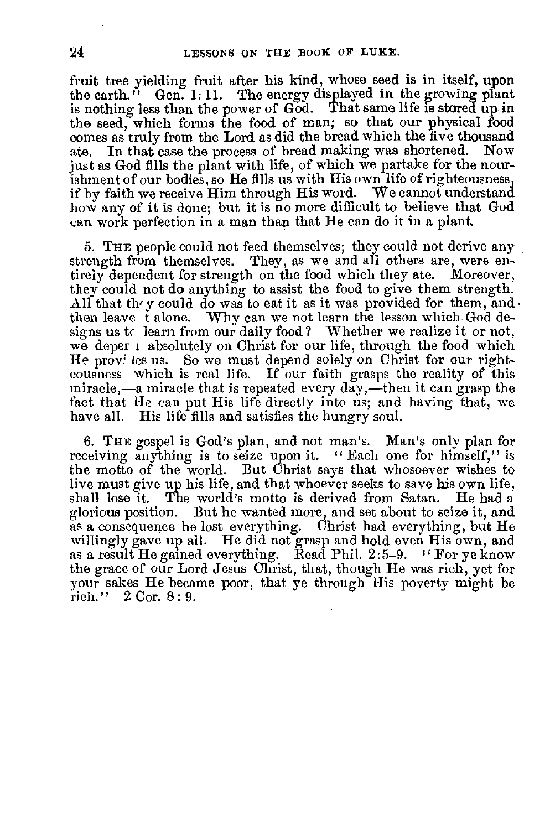fruit tree yielding fruit after his kind, whose seed is in itself, upon the earth." Gen. 1:11. The energy displayed in the growing plant is nothing less than the power of God. That same life is stored up in the seed, which forms the food of man; so that our physical food comes as truly from the Lord as did the bread which the five thousand ate. In that case the process of bread making was shortened. Now just as God fills the plant with life, of which we partake for the nourishment of our bodies, so He fills us with His own life of righteousness, if by faith we receive Him through His word. We cannot understand how any of it is done; but it is no more difficult to believe that God can work perfection in a man than that He can do it in a plant.

5. THE people could not feed themselves; they could not derive any strength from themselves. They, as we and all others are, were entirely dependent for strength on the food which they ate. Moreover, they could not do anything to assist the food to give them strength. All that the y could do was to eat it as it was provided for them, and  $\cdot$ then leave t alone. Why can we not learn the lesson which God designs us tc learn from our daily food? Whether we realize it or not, we deper 1 absolutely on Christ for our life, through the food which He prov' les us. So we must depend solely on Christ for our righteousness which is real life. If our faith grasps the reality of this miracle,—a miracle that is repeated every day,—then it can grasp the fact that He can put His life directly into us; and having that, we have all. His life fills and satisfies the hungry soul.

6. THE gospel is God's plan, and not man's. Man's only plan for receiving anything is to seize upon it. " Each one for himself," is the motto of the world. But Christ says that whosoever wishes to live must give up his life, and that whoever seeks to save his own life, shall lose it. The world's motto is derived from Satan. He had a glorious position. But he wanted more, and set about to seize it, and as a consequence he lost everything. Christ had everything, but He willingly gave up all. He did not grasp and hold even His own, and as a result He gained everything. Read Phil. 2:5-9. "For ye know the grace of our Lord Jesus Christ, that, though He was rich, yet for your sakes He became poor, that ye through His poverty might be rich." 2 Cor. 8 : 9.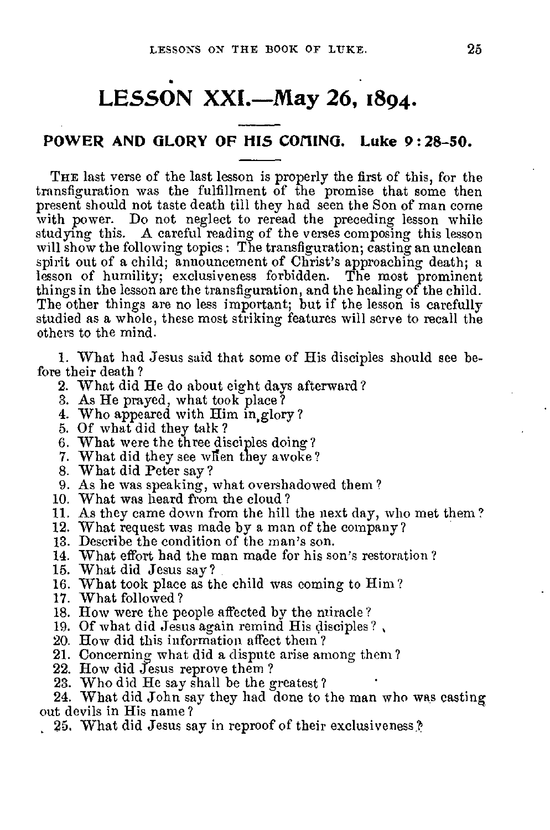# **LESSON XXI.—May 26, 1894.**

## POWER AND GLORY OF HIS COMING. Luke 9:28-50.

THE last verse of the last lesson is properly the first of this, for the transfiguration was the fulfillment of the promise that some then present should not taste death till they had seen the Son of man come with power. Do not neglect to reread the preceding lesson while studying this. A careful reading of the verses composing this lesson will show the following topics: The transfiguration; casting an unclean spirit out of a child; announcement of Christ's approaching death; a lesson of humility; exclusiveness forbidden. The most prominent things in the lesson are the transfiguration, and the healing of the child. The other things are no less important; but if the lesson is carefully studied as a whole, these most striking features will serve to recall the others to the mind.

1. What had Jesus said that some of His disciples should see before their death ?

- 2. What did He do about eight days afterward?
- 3. As He prayed, what took place?
- 4. Who appeared with Him in,glory ?
- 5. Of what did they talk ?
- 6. What were the three disciples doing?
- 7. What did they see when they awoke?
- 8. What did Peter say?
- 9. As he was speaking, what overshadowed them ?
- 10. What was heard from the cloud?
- 11. As they came down from the hill the next day, who met them?
- 12. What request was made by a man of the company ?
- 13. Describe the condition of the man's son.
- 14. What effort had the man made for his son's restoration ?
- 15. What did Jesus say ?
- 16. What took place as the child was coming to Him?
- 17. What followed ?
- 18. How were the people affected by the miracle?
- 19. Of what did Jesus again remind His disciples?
- 20. How did this information affect them ?
- 21. Concerning what did a dispute arise among them?
- 22. How did Jesus reprove them ?
- 23. Who did He say shall be the greatest ?

24. What did John say they had done to the man who was casting out devils in His name?

25. What did Jesus say in reproof of their exclusiveness.?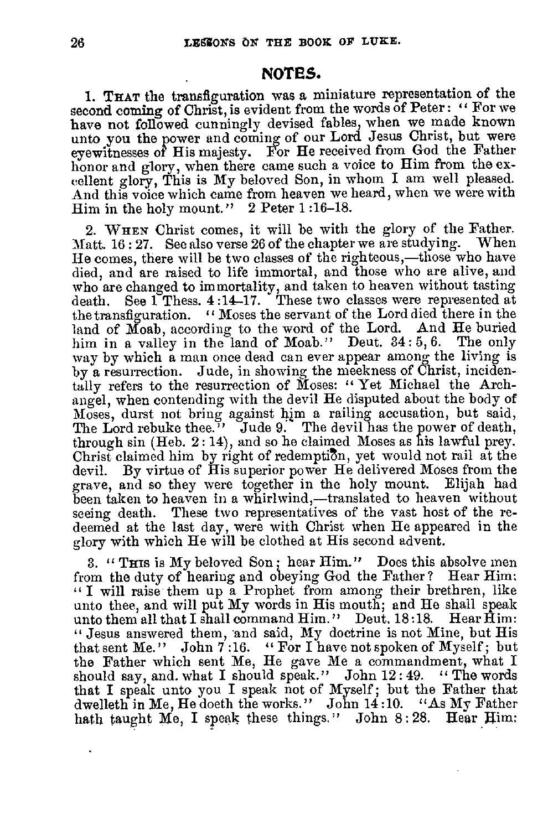## **NOTES.**

1. THAT the transfiguration was a miniature representation of the second coming of Christ, is evident from the words of Peter: " For we have not followed cunningly devised fables, when we made known unto you the power and coming of our Lord Jesus Christ, but were eyewitnesses of His majesty. For He received from God the Father honor and glory, when there came such a voice to Him from the excellent glory, This is My beloved Son, in whom I am well pleased. And this voice which came from heaven we heard, when we were with Him in the holy mount." 2 Peter 1:16-18.

2. WHEN Christ comes, it will be with the glory of the Father. Matt. 16 : 27. See also verse 26 of the chapter we are studying. When He comes, there will be two classes of the righteous,—those who have died, and are raised to life immortal, and those who are alive, and who are changed to immortality, and taken to heaven without tasting death. See  $1$  Thess.  $4:14-17$ . These two classes were represented at the transfiguration. " Moses the servant of the Lord died there in the land of Moab, according to the word of the Lord. And He buried him in a valley in the land of Moab." Deut. 34:5,6. The only way by which a man once dead can ever appear among the living is by a resurrection. Jude, in showing the meekness of Christ, incidentally refers to the resurrection of Moses: " Yet Michael the Archangel, when contending with the devil He disputed about the body of Moses, durst not bring against him a railing accusation, but said, The Lord rebuke thee." Jude 9. The devil has the power of death, through sin (Heb. 2 : 14), and so he claimed Moses as his lawful prey. Christ claimed him by right of redemption, yet would not rail at the devil. By virtue of His superior power He delivered Moses from the By virtue of His superior power He delivered Moses from the grave, and so they were together in the holy mount. Elijah had been taken to heaven in a whirlwind,—translated to heaven without seeing death. These two representatives of the vast host of the redeemed at the last day, were with Christ when He appeared in the glory with which He will be clothed at His second advent.

3. " THIS is My beloved Son; hear Him." Does this absolve men from the duty of hearing and obeying God the Father? Hear Him: " I will raise them up a Prophet from among their brethren, like unto thee, and will put My words in His mouth; and He shall speak unto them all that I shall command Him." Deut. 18:18. Hear  $\hat{H}$ im: " Jesus answered them, and said, My doctrine is not Mine, but His that sent Me." John 7 :16. " For I have not spoken of Myself ; but the Father which sent Me, He gave Me a commandment, what I should say, and. what I should speak." John 12:49. "The words that I speak unto you I speak not of Myself; but the Father that dwelleth in Me, He doeth the works." John 14:10. "As My Father hath taught Me, I speak these things." John 8:28. Hear Him: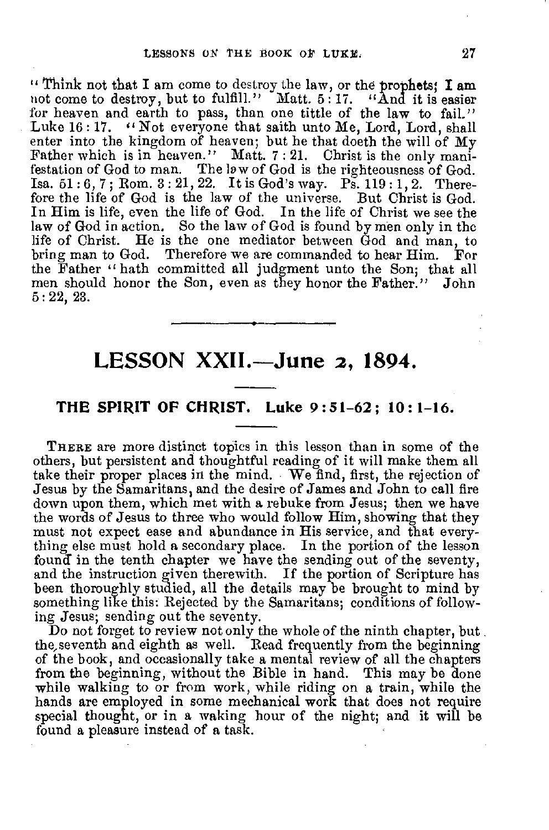"Think not that I am come to destroy the law, or theprophets; **I** am not come to destroy, but to fulfill." Matt. 5:17. "And it is easier for heaven and earth to pass, than one tittle of the law to fail." Luke 16: 17. "Not everyone that saith unto Me, Lord, Lord, shall enter into the kingdom of heaven; but he that doeth the will of My Father which is in heaven." Matt. 7:21. Christ is the only manifestation of God to man. The law of God is the righteousness of God. Isa. 51 : 6, 7 ; Rom. 3 : 21, 22. It is God's way. Ps. 119: 1, 2. Therefore the life of God is the law of the universe. But Christ is God. In Him is life, even the life of God. In the life of Christ we see the law of God in action. So the law of God is found by men only in the life of Christ. He is the one mediator between God and man, to bring man to God. Therefore we are commanded to hear Him. For the Father " hath committed all judgment unto the Son; that all men should honor the Son, even as they honor the Father." John 5 : 22, 23.

## **LESSON XXII.—June 2, 1894.**

### **THE SPIRIT OF CHRIST. Luke 9 :51-62 ; 10:1-16.**

THERE are more distinct topics in this lesson than in some of the others, but persistent and thoughtful reading of it will make them all take their proper places in the mind. We find, first, the rejection of Jesus by the Samaritans, and the desire of James and John to call fire down upon them, which met with a rebuke from Jesus; then we have the words of Jesus to three who would follow Him, showing that they must not expect ease and abundance in His service, and that everything else must hold a secondary place. In the portion of the lesson found in the tenth chapter we have the sending out of the seventy, and the instruction given therewith. If the portion of Scripture has been thoroughly studied, all the details may be brought to mind by something like this: Rejected by the Samaritans; conditions of following Jesus; sending out the seventy.

Do not forget to review not only the whole of the ninth chapter, but the, seventh and eighth as well. Read frequently from the beginning of the book, and occasionally take a mental review of all the chapters from the beginning, without the Bible in hand. This may be done while walking to or from work, while riding on a train, while the hands are employed in some mechanical work that does not require special thought, or in a waking hour of the night; and it will be found a pleasure instead of a task.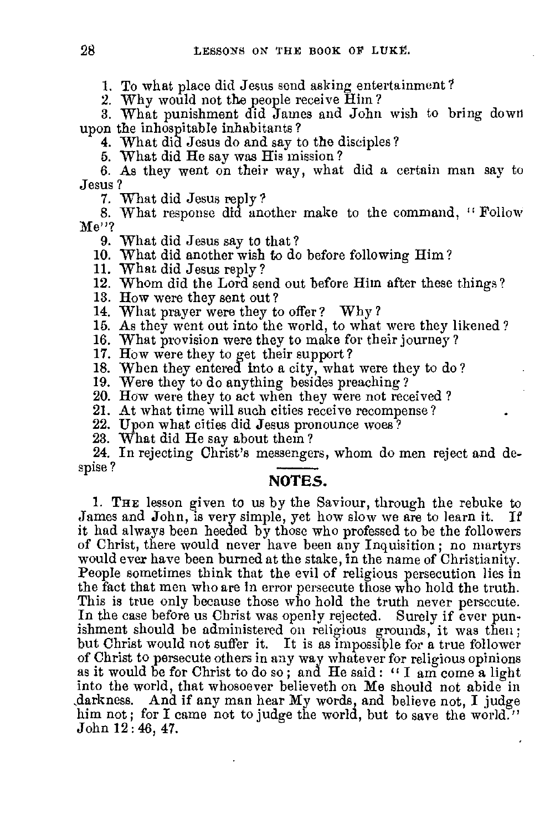1. To what place did Jesus send asking entertainment ?

2. Why would not the people receive Him?

3. What punishment did James and John wish to bring down upon the inhospitable inhabitants ?

4. What did Jesus do and say to the disciples?

5. What did He say was His mission?

6. As they went on their way, what did a certain man say to Jesus ?

7. What did Jesus reply?

8. What response did another make to the command, " Follow Me"?

9. What did Jesus say to that?

10. What did another wish to do before following Him ?

11. What did Jesus reply?

12. Whom did the Lord send out before Him after these things?

13. How were they sent out ?

14. What prayer were they to offer? Why?

15. As they went out into the world, to what were they likened ?

16. What provision were they to make for their journey?

17. How were they to get their support?

18. When they entered into a city, what were they to do?

19. Were they to do anything besides preaching?

20. How were they to act when they were not received ?

21. At what time will such cities receive recompense?

22. Upon what cities did Jesus pronounce woes?

23. What did He say about them ?

24. In rejecting Christ's messengers, whom do men reject and despise ?

## **NOTES.**

**1.** THE lesson given to us by the Saviour, through the rebuke to James and John, is very simple, yet how slow we are to learn it. If it had always been heeded by those who professed to be the followers of Christ, there would never have been any Inquisition; no martyrs would ever have been burned at the stake, in the name of Christianity. People sometimes think that the evil of religious persecution lies in the fact that men who are in error persecute those who hold the truth. This is true only because those who hold the truth never persecute. In the case before us Christ was openly rejected. Surely if ever punishment should be administered on religious grounds, it was then; but Christ would not suffer it. It is as impossible for a true follower of Christ to persecute others in any way whatever for religious opinions as it would be for Christ to do so ; and He said : " I am come a light into the world, that whosoever believeth on Me should not abide in ,darkness. And if any man hear My words, and believe not, I judge him not; for I came not to judge the world, but to save the world." John 12: 46, 47.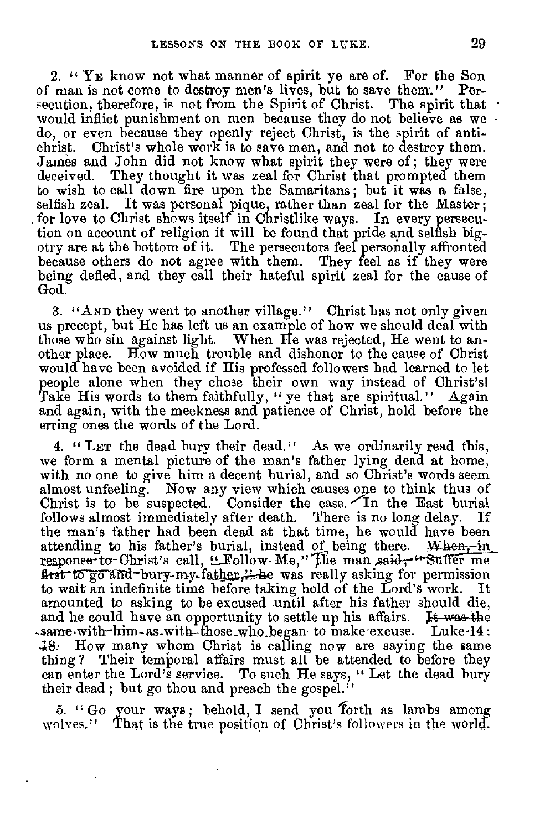2. " YE know not what manner of spirit ye are of. For the Son of man is not come to destroy men's lives, but to save them'." Persecution, therefore, is not from the Spirit of Christ. The spirit that would inflict punishment on men because they do not believe as we do, or even because they openly reject Christ, is the spirit of antichrist. Christ's whole work is to save men, and not to destroy them. James and John did not know what spirit they were of; they were deceived. They thought it was zeal for Christ that prompted them to wish to call down fire upon the Samaritans ; but it was a false, selfish zeal. It was personal pique, rather than zeal for the Master; for love to Christ shows itself in Christlike ways. In every persecution on account of religion it will be found that pride and selfish bigotry are at the bottom of it. The persecutors feel personally affronted because others do not agree with them. They feel as if they were being defied, and they call their hateful spirit zeal for the cause of God.

3. "AND they went to another village." Christ has not only given us precept, but He has left us an example of how we should deal with those who sin against light. When He was rejected, He went to another place. How much trouble and dishonor to the cause of Christ would have been avoided if His professed followers had learned to let people alone when they chose their own way instead of Christ's! Take His words to them faithfully, " ye that are spiritual." Again and again, with the meekness and patience of Christ, hold before the erring ones the words of the Lord.

4. " LET the dead bury their dead." As we ordinarily read this, we form a mental picture of the man's father lying dead at home, with no one to give him a decent burial, and so Christ's words seem almost unfeeling. Now any view which causes one to think thus of Christ is to be suspected. Consider the case. In the East burial follows almost immediately after death. There is no long delay. If the man's father had been dead at that time, he would have been attending to his father's burial, instead of being there. When,-in response-to-Christ's call, "Follow-Me," The man said, "Suffer me first to go and bury-my father," he was really asking for permission to wait an indefinite time before taking hold of the Lord's work. It amounted to asking to be excused until after his father should die, and he could have an opportunity to settle up his affairs. It was the -same,with-him-as.with-those\_who.began to make excuse. Luke-14: .18: How many whom Christ is calling now are saying the same thing ? Their temporal affairs must all be attended to before they can enter the Lord's service. To such He says, " Let the dead bury their dead; but go thou and preach the gospel."

5. " Go your ways ; behold, I send you forth as lambs among wolves." That is the true position of Christ's followers in the world.

 $\ddot{\phantom{0}}$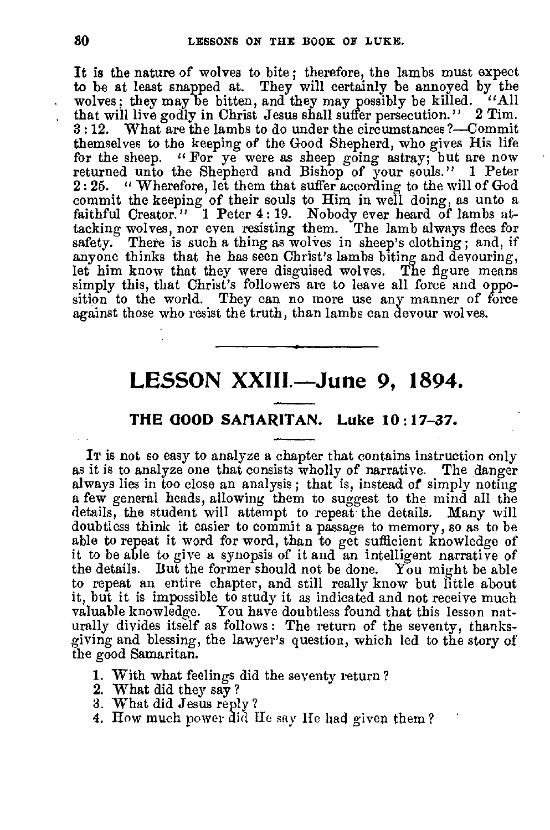It is the nature of wolves to bite ; therefore, the lambs must expect to be at least snapped at. They will certainly be annoyed by the wolves; they may be bitten, and they may possibly be killed. "All that will live godly in Christ Jesus shall suffer persecution." 2 Tim. 3 : 12. What are the lambs to do under the circumstances 7—Commit themselves to the keeping of the Good Shepherd, who gives His life for the sheep. " For ye were as sheep going astray; but are now returned unto the Shepherd and Bishop of your souls." 1 Peter 2:25. "Wherefore, let them that suffer according to the will of God commit the keeping of their souls to Him in well doing, as unto a faithful Creator."  $\degree$  1 Peter 4:19. Nobody ever heard of lambs attacking wolves, nor even resisting them. The lamb always flees for There is such a thing as wolves in sheep's clothing; and, if anyone thinks that he has seen Christ's lambs biting and devouring, let him know that they were disguised wolves. The figure means simply this, that Christ's followers are to leave all force and opposition to the world. They can no more use any manner of force against those who resist the truth, than lambs can devour wolves.

## **LESSON XXIII.—June 9, 1894.**

## **THE GOOD SAIIARITAN. Luke 10:17-37.**

It is not so easy to analyze a chapter that contains instruction only as it is to analyze one that consists wholly of narrative. The danger always lies in too close an analysis ; that is, instead of simply noting a few general heads, allowing them to suggest to the mind all the details, the student will attempt to repeat the details. Many will doubtless think it easier to commit a passage to memory, so as to be able to repeat it word for word, than to get sufficient knowledge of it to be able to give a synopsis of it and an intelligent narrative of the details. But the former should not be done. You might be able to repeat an entire chapter, and still really know but little about it, but it is impossible to study it as indicated and not receive much valuable knowledge. You have doubtless found that this lesson naturally divides itself as follows : The return of the seventy, thanksgiving and blessing, the lawyer's question, which led to the story of the good Samaritan.

- 1. With what feelings did the seventy return 7
- 2. What did they say ?
- 3. What did Jesus reply ?
- 4. How much power did He say He had given them?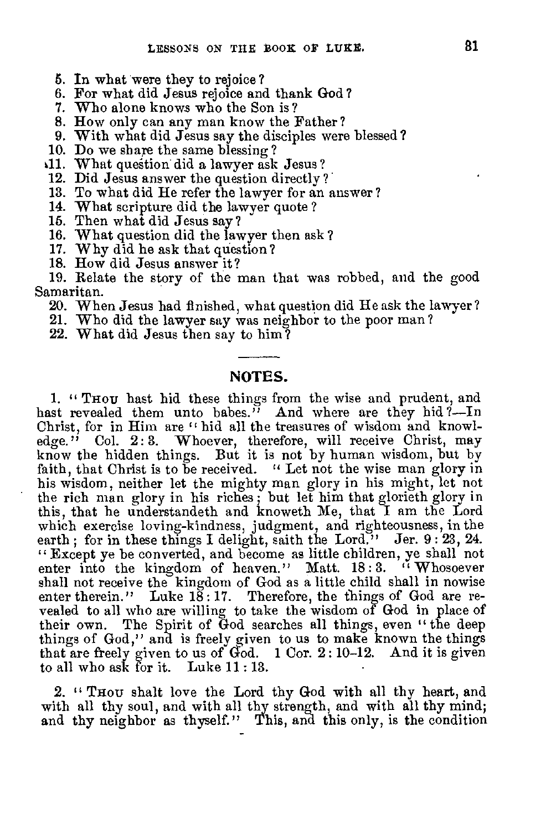- 5. In what were they to rejoice?
- 6. For what did Jesus rejoice and thank God?
- 7. Who alone knows who the Son is?
- 8. How only can any man know the Father?
- 9. With what did Jesus say the disciples were blessed?
- 10. Do we share the same blessing?
- dl. What question did a lawyer ask Jesus ? 12. Did Jesus answer the question directly ?
- 
- 13. To what did He refer the lawyer for an answer?
- 14. What scripture did the lawyer quote ?
- 15. Then what did Jesus say?
- 16. What question did the lawyer then ask ?
- 17. Why did he ask that question?
- 18. How did Jesus answer it?

19. Relate the story of the man that was robbed, and the good Samaritan.

- 20. When Jesus had finished, what question did He ask the lawyer?
- 21. Who did the lawyer say was neighbor to the poor man ?
- 22. What did Jesus then say to him?

### **NOTES.**

**1. "** THou hast hid these things from the wise and prudent, and hast revealed them unto babes." And where are they hid?—In Christ, for in Him are " hid all the treasures of wisdom and knowledge." Col. 2:3. Whoever, therefore, will receive Christ, may know the hidden things. But it is not by human wisdom, but by faith, that Christ is to be received. " Let not the wise man glory in his wisdom, neither let the mighty man glory in his might, let not the rich man glory in his riches ; but let him that glorieth glory in this, that he understandeth and knoweth Me, that I am the Lord which exercise loving-kindness, judgment, and righteousness, in the earth; for in these things I delight, saith the Lord." Jer. 9:23, 24. " Except ye be converted, and become as little children, ye shall not enter into the kingdom of heaven." Matt. 18:3. "Whosoever shall not receive the kingdom of God as a little child shall in nowise enter therein." Luke  $18:17$ . Therefore, the things of God are revealed to all who are willing to take the wisdom of God in place of their own. The Spirit of God searches all things, even "the deep The Spirit of God searches all things, even " the deep things of God," and is freely given to us to make known the things that are freely given to us of  $\ddot{G}$ od. 1 Cor. 2:10-12. And it is given to all who ask for it. Luke 11 : 13.

2. " Thou shalt love the Lord thy God with all thy heart, and with all thy soul, and with all thy strength, and with all thy mind; and thy neighbor as thyself." This, and this only, is the condition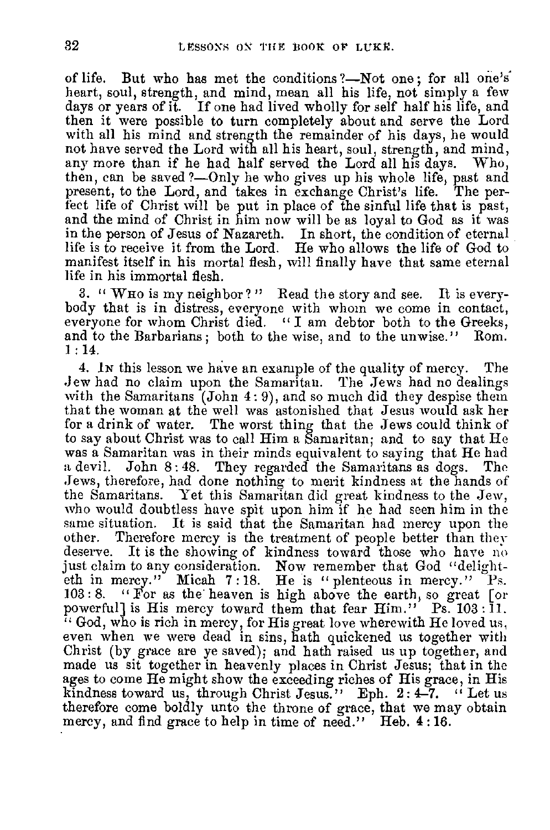of life. But who has met the conditions?—Not one; for all one's heart, soul, strength, and mind, mean all his life, not simply a few days or years of it. If one had lived wholly for self half his life, and then it were possible to turn completely about and serve the Lord with all his mind and strength the remainder of his days, he would not have served the Lord with all his heart, soul, strength, and mind, any more than if he had half served the Lord all his days. Who, then, can be saved ?—Only he who gives up his whole life, past and present, to the Lord, and takes in exchange Christ's life. The perfect life of Christ will be put in place of the sinful life that is past, and the mind of Christ in him now will be as loyal to God as it was in the person of Jesus of Nazareth. In short, the condition of eternal life is to receive it from the Lord. He who allows the life of God to manifest itself in his mortal flesh, will finally have that same eternal life in his immortal flesh.

3. " WHO is my neighbor? " Read the story and see. It is everybody that is in distress, everyone with whom we come in contact, everyone for whom Christ died. " I am debtor both to the Greeks, and to the Barbarians ; both to the wise, and to the unwise." Rom. 1 : 14.

4. IN this lesson we have an example of the quality of mercy. The Jew had no claim upon the Samaritan. The Jews had no dealings with the Samaritans (John 4: 9), and so much did they despise them that the woman at the well was astonished that Jesus would ask her The worst thing that the Jews could think of to say about Christ was to call Him a Samaritan; and to say that He was a Samaritan was in their minds equivalent to saying that He had a devil. John 8 : 48. They regarded the Samaritans as dogs. The Jews, therefore, had done nothing to merit kindness at the hands of the Samaritans. Yet this Samaritan did great kindness to the Jew, who would doubtless have spit upon him if he had seen him in the same situation. It is said that the Samaritan had mercy upon the other. Therefore mercy is the treatment of people better than they deserve. It is the showing of kindness toward those who have no just claim to any consideration. Now remember that God "delighteth in mercy." Micah 7 : 18. He is "plenteous in mercy." Ps. 103 : 8. " For as the' heaven is high above the earth, so great [or powerful] is His mercy toward them that fear Him." Ps. 103: I1.  $\cdot$  God, who is rich in mercy, for His great love wherewith He loved us, even when we were dead in sins, hath quickened us together with Christ (by grace are ye saved); and hath raised us up together, and made us sit together in heavenly places in Christ Jesus; that in the ages to come He might show the exceeding riches of His grace, in His kindness toward us, through Christ Jesus." Eph.  $2:4-7$ . "Let us therefore come boldly unto the throne of grace, that we may obtain mercy, and find grace to help in time of need." Heb. 4:16.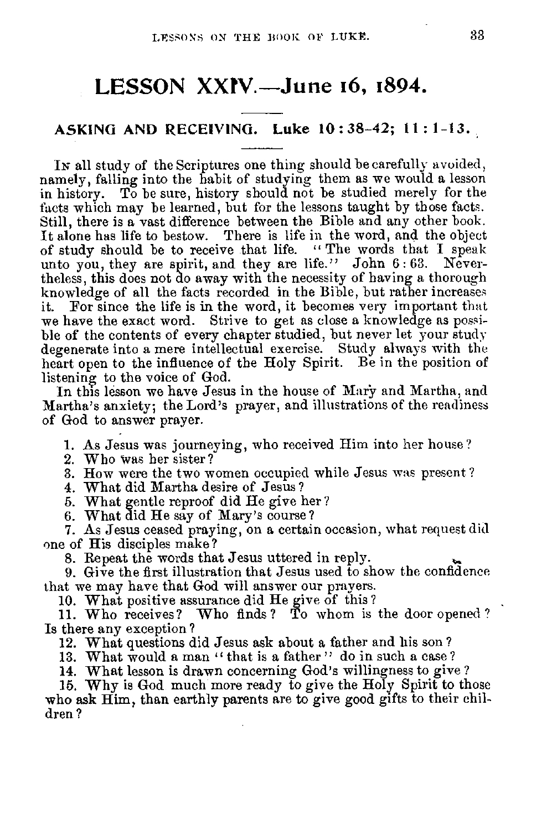## **LESSON XXFV.—June 16, 1894.**

#### **ASKING AND RECEIVING. Luke 10 : 38-42; 11 : 1-13.**

In all study of the Scriptures one thing should be carefully avoided, namely, falling into the habit of studying them as we would a lesson in history. To be sure, history should not be studied merely for the facts which may be learned, but for the lessons taught by those facts. Still, there is a vast difference between the Bible and any other book. It alone has life to bestow. There is life in the word, and the object of study should be to receive that life. " The words that I speak unto you, they are spirit, and they are life." John 6: 63. Nevertheless, this does not do away with the necessity of having a thorough knowledge of all the facts recorded in the Bible, but rather increases For since the life is in the word, it becomes very important that we have the exact word. Strive to get as close a knowledge as possible of the contents of every chapter studied, but never let your study degenerate into a mere intellectual exercise. Study always with the heart open to the influence of the Holy Spirit. Be in the position of listening to the voice of God.

In this lesson we have Jesus in the house of Mary and Martha, and Martha's anxiety; the Lord's prayer, and illustrations of the readiness of God to answer prayer.

1. As Jesus was journeying, who received Him into her house?

2. Who Was her sister?

3. How were the two women occupied while Jesus was present ?

4. What did Martha desire of Jesus?

5. What gentle reproof did He give her?

6. What did He say of Mary's course?

7. As Jesus ceased praying, on a certain occasion, what request did one of His disciples make?

8. Repeat the words that Jesus uttered in reply.

9. Give the first illustration that Jesus used to show the confidence that we may have that God will answer our prayers.

10. What positive assurance did He give of this?

11. Who receives? Who finds? To whom is the door opened? Is there any exception?

12. What questions did Jesus ask about a father and his son ?

13. What would a man "that is a father" do in such a case?

14. What lesson is drawn concerning God's willingness to give ?

16. Why is God much more ready to give the Holy Spirit to those who ask Him, than earthly parents are to give good gifts to their children ?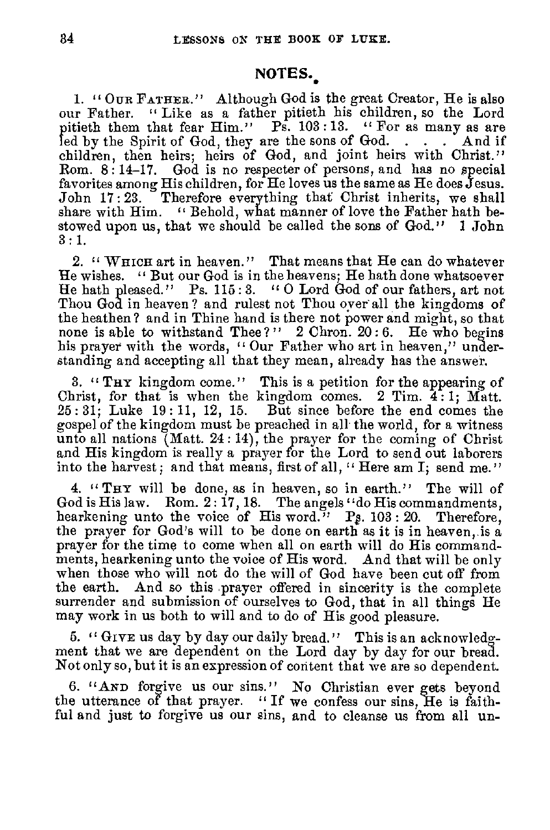## NOTES.

1. " OUR FATHER." Although God is the great Creator, He is also our Father. " Like as a father pitieth his children, so the Lord pitieth them that fear Him." Ps. 103:13. "For as many as are led by the Spirit of God, they are the sons of God. . . . And if children, then heirs; heirs of God, and joint heirs with Christ." Rom. 8 : 14-17. God is no respecter of persons, and has no special favorites among His children, for He loves us the same as He does Jesus. John 17 : 23. Therefore everything that Christ inherits, we shall share with Him. " Behold, what manner of love the Father hath bestowed upon us, that we should be called the sons of God." 1 John 3 : 1.

2. " WHICH art in heaven." That means that He can do whatever He wishes. " But our God is in the heavens; He hath done whatsoever He hath pleased." Ps. 115:3. "O Lord God of our fathers, art not Thou God in heaven ? and rulest not Thou over all the kingdoms of the heathen? and in Thine hand is there not power and might, so that none is able to withstand Thee?"  $2$  Chron.  $20:6$ . He who begins his prayer with the words, "Our Father who art in heaven," understanding and accepting all that they mean, already has the answer.

3. "THY kingdom come." This is a petition for the appearing of Christ, for that is when the kingdom comes. 2 Tim. 4: 1; Matt. 25: 31; Luke 19: 11, 12, 15. But since before the end comes the gospel of the kingdom must be preached in all the world, for a witness unto all nations (Matt. 24: 14), the prayer for the coming of Christ and His kingdom is really a prayer for the Lord to send out laborers into the harvest; and that means, first of all, "Here am I; send me."

4. "THY will be done, as in heaven, so in earth." The will of God is His law. Rom. 2: 17, 18. The angels "do His commandments, hearkening unto the voice of His word." Ps.  $103: 20$ . Therefore, the prayer for God's will to be done on earth as it is in heaven, is a prayer for the time to come when all on earth will do His commandments, hearkening unto the voice of His word. And that will be only when those who will not do the will of God have been cut off from the earth. And so this .prayer offered in sincerity is the complete surrender and submission of ourselves to God, that in all things He may work in us both to will and to do of His good pleasure.

5. " GIVE us day by day our daily bread." This is an acknowledgment that we are dependent on the Lord day by day for our bread. Not only so, but it is an expression of content that we are so dependent.

6. "AND forgive us our sins." No Christian ever gets beyond the utterance of that prayer. "If we confess our sins, He is faithful and just to forgive us our sins, and to cleanse us from all un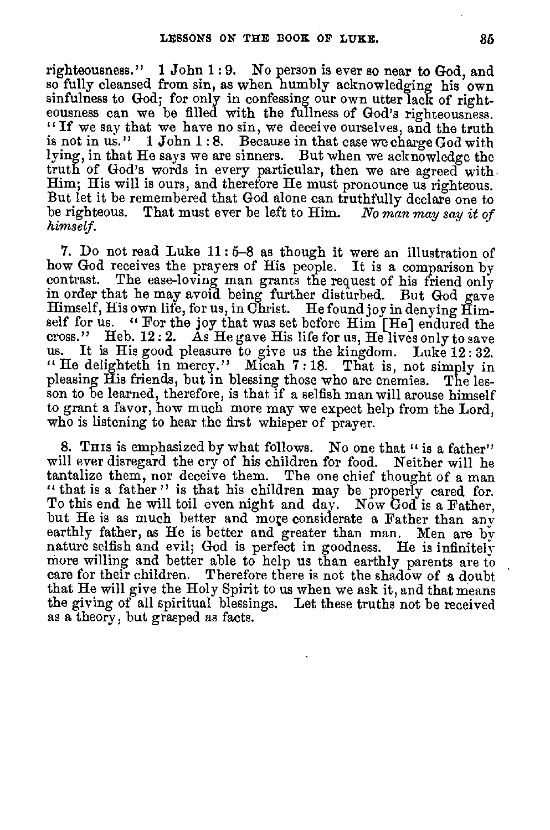righteousness." 1 John 1 : 9. No person is ever so near to God, and so fully cleansed from sin, as when humbly acknowledging his own sinfulness to God; for only in confessing our own utter lack of righteousness can we be filled with the fullness of God's righteousness. " If we say that we have no sin, we deceive ourselves, and the truth is not in us." 1 John 1 : 8. Because in that case we charge God with lying, in that He says we are sinners. But when we acknowledge the truth of God's words in every particular, then we are agreed with Him; His will is ours, and therefore He must pronounce us righteous. But let it be remembered that God alone can truthfully declare one to be righteous. That must ever be left to Him. *No* man may *say it of himself.* 

7. Do not read Luke 11 : 5-8 as though it were an illustration of how God receives the prayers of His people. It is a comparison by contrast. The ease-loving man grants the request of his friend only in order that he may avoid being further disturbed. But God gave Himself, His own life, for us, in Christ. He found joy in denying Himself for us. " For the joy that was set before Him [He] endured the cross." Heb.  $12:2$ .  $\tilde{A}s$  He gave His life for us, He lives only to save us. It is His good pleasure to give us the kingdom. Luke 12:32 It is His good pleasure to give us the kingdom. Luke 12:32. " He delighteth in mercy." Micah 7 : 18. That is, not simply in pleasing His friends, but in blessing those who are enemies. The lesson to be learned, therefore, is that if a selfish man will arouse himself to grant a favor, how much more may we expect help from the Lord, who is listening to hear the first whisper of prayer.

8. This is emphasized by what follows. No one that " is a father" will ever disregard the cry of his children for food. Neither will he tantalize them, nor deceive them. The one chief thought of a man " that is a father" is that his children may be properly cared for. To this end he will toil even night and day. Now God is a Father, but He is as much better and more considerate a Father than any earthly father, as He is better and greater than man. Men are by nature selfish and evil; God is perfect in goodness. He is infinitely more willing and better able to help us than earthly parents are to care for their children. Therefore there is not the shadow of a doubt that He will give the Holy Spirit to us when we ask it, and that means the giving of all spiritual blessings. Let these truths not be received as a theory, but grasped as facts.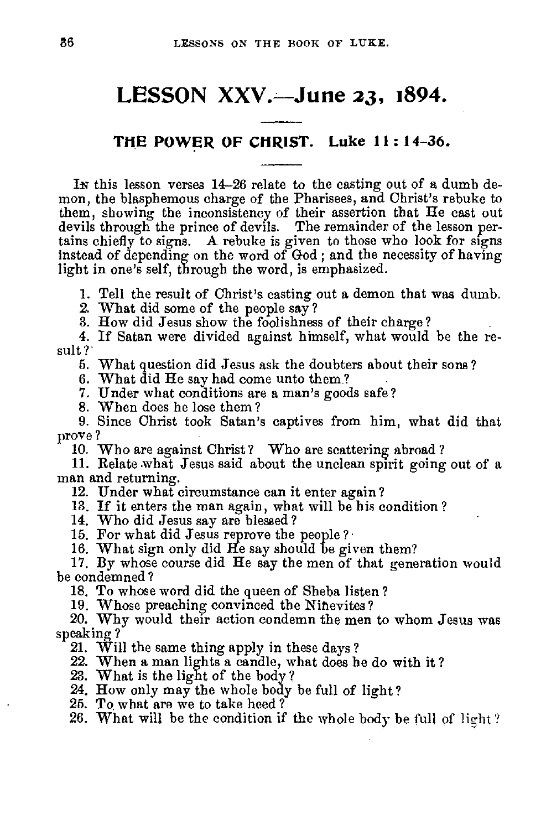## **LESSON XXV.—June 23, 1894.**

## **THE POWER OF CHRIST. Luke 11 : 14-36.**

In this lesson verses 14-26 relate to the casting out of a dumb demon, the blasphemous charge of the Pharisees, and Christ's rebuke to them, showing the inconsistency of their assertion that He cast out devils through the prince of devils. The remainder of the lesson pertains chiefly to signs. A rebuke is given to those who look for signs instead of depending on the word of God ; and the necessity of having light in one's self, through the word, is emphasized.

1. Tell the result of Christ's casting out a demon that was dumb.

2. What did some of the people say?

3. How did Jesus show the foolishness of their charge?

4. If Satan were divided against himself, what would be the result?

5. What question did Jesus ask the doubters about their sons ?

6. What did He say had come unto them?

7. Under what conditions are a man's goods safe?

8. When does he lose them ?

9. Since Christ took Satan's captives from him, what did that prove?

10. Who are against Christ? Who are scattering abroad?

11. Relate .what Jesus said about the unclean spirit going out of a man and returning.

12. Under what circumstance can it enter again ?

13. If it enters the man again, what will be his condition ?

14. Who did Jesus say are blessed?

15. For what did Jesus reprove the people ?

16. What sign only did He say should be given them?

17. By whose course did He say the men of that generation would be condemned ?

18. To whose word did the queen of Sheba listen ?

19. Whose preaching convinced the Ninevites

20. Why would their action condemn the men to whom Jesus was speaking?

21. Will the same thing apply in these days?

22. When a man lights a candle, what does he do with it?

23. What is the light of the body?

24. How only may the whole body be full of light?

25. To what are we to take heed?

26. What will be the condition if the whole body be full of light?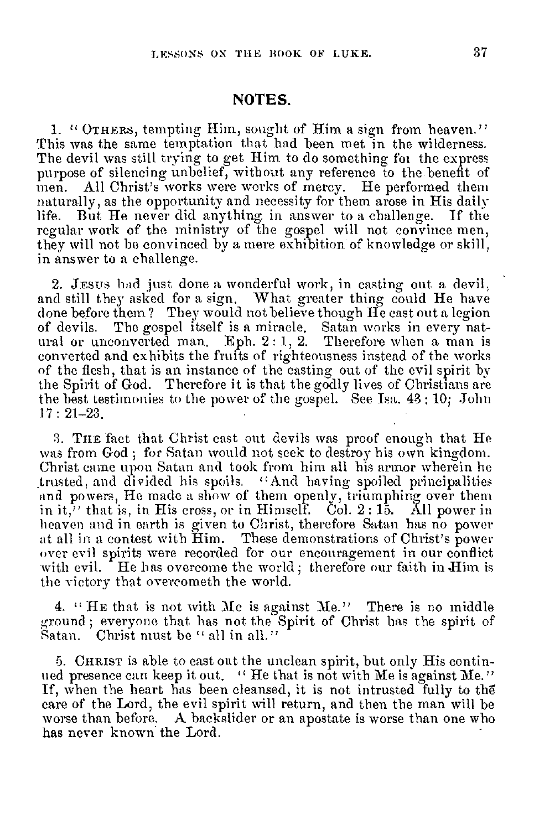#### **NOTES.**

1. " OTHERS, tempting Him, sought of Him a sign from heaven." This was the same temptation that had been met in the wilderness. The devil was still trying to get Him to do something fot the express purpose of silencing unbelief, without any reference to the benefit of men. All Christ's works were works of mercy. He performed them naturally, as the opportunity and necessity for them arose in His daily life. But He never did anything in answer to a challenge. If the regular work of the ministry of the gospel will not convince men, they will not be convinced by a mere exhibition of knowledge or skill, in answer to a challenge.

2. JESUS had just done a wonderful work, in casting out a devil. and still they asked for a sign. What greater thing could He have done before them? They would not believe though He cast out a legion of devils. The gospel itself is a miracle. Satan works in every natural or unconverted man. Eph. 2: 1, 2. Therefore when a man is converted and exhibits the fruits of righteousness instead of the works of the flesh, that is an instance of the casting out of the evil spirit by the Spirit of God. Therefore it is that the godly lives of Christians are the best testimonies to the power of the gospel. See Isa. 43 : 10; John 17 : 21-23.

3. TIIE fact that Christ cast out devils was proof enough that He was from God ; for Satan would not seek to destroy his own kingdom. Christ came upon Satan and took from him all his armor wherein he trusted, and divided his spoils. "And having spoiled principalities and powers, He made a show of them openly, triumphing over them in it,<sup>7</sup> that is, in His cross, or in Himself. Col. 2:15. All power in heaven and in earth is given to Christ, therefore Satan has no power at all in a contest with Him. These demonstrations of Christ's power over evil spirits were recorded for our encouragement in our conflict with evil. He has overcome the world; therefore our faith in Him is the victory that overcometh the world.

4. " HE that is not with Me is against Me." There is no middle ground ; everyone that has not the Spirit of Christ has the spirit of Satan. Christ must be " all in all."

5. CHRIST is able to cast out the unclean spirit, but only His continued presence can keep it out. "He that is not with Me is against Me." If, when the heart has been cleansed, it is not intrusted fully to the care of the Lord, the evil spirit will return, and then the man will be worse than before. A backslider or an apostate is worse than one who has never known the Lord.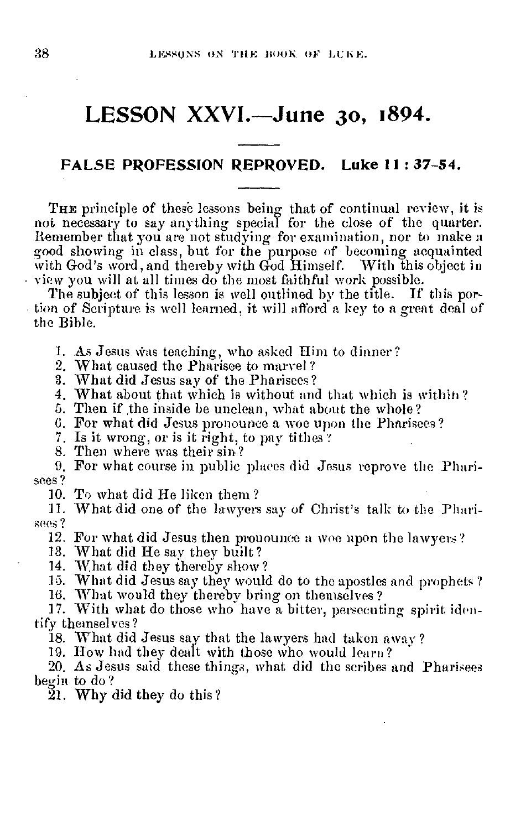## **LESSON XXVI.—June 3o, 1894.**

## **FALSE PROFESSION REPROVED. Luke II : 37-54.**

THE principle of these lessons being that of continual review, it is not necessary to say anything special for the close of the quarter. Remember that you are not studying for examination, nor to make a good showing in class, but for the purpose of becoming acquainted with God's word, and thereby with God Himself. With this object in • view you will at all times do the most faithful work possible.

The subject of this lesson is well outlined by the title. If this portion of Scripture is well learned, it will afford a key to a great deal of the Bible.

I. As Jesus was teaching, who asked Him to dinner?

2. What caused the Pharisee to marvel?

3. What did Jesus say of the Pharisees?

4. What about that which is without and that which is within'?

5. Then if the inside be unclean, what about the whole?

6. For what did Jesus pronounce a woe upon the Pharisees?

7. Is it wrong, or is it right, to pay tithes?

8. Then where was their sin?

9. For what course in public places did Jesus reprove the Pharisees?

10. To what did He liken them ?

11. What did one of the lawyers say of Christ's talk to the Pharisees ?

12. For what did Jesus then pronounce a woe upon the lawyers?

13. What did He say they built? 14. What did they thereby show?

15. What did Jesus say they would do to the apostles and prophets ?

16. What would they thereby bring on themselves ?

17. With what do those who have a bitter, persecuting spirit identify themselves?

18. What did Jesus say that the lawyers had taken away?

19. How had they dealt with those who would learn?

20. As Jesus said these things, what did the scribes and Pharisees begin to do?

21. Why did they do this?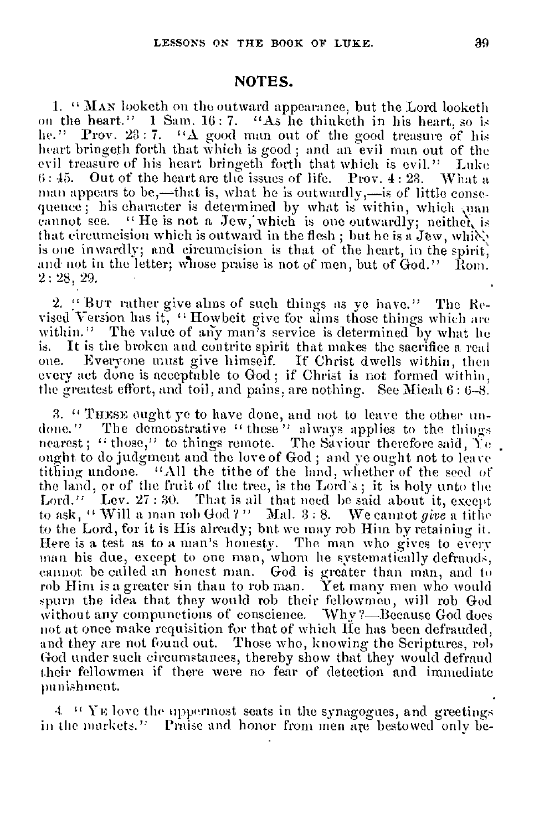#### **NOTES.**

**1. ''** MAN looketh on the outward appearance, but the Lord looketh on the heart." 1 Sam. 16: 7. "As he thinketh in his heart, so is he." Prov.  $23:7.$  "A good man out of the good treasure of his heart bringeth forth that which is good ; and an evil man out of the evil treasure of his heart bringeth forth that which is evil." Luke 6: 45. Out of the heart are the issues of life. Prov. 4: 28. What a man appears to be,—that is, what he is outwardly,—is of little consequence; his character is determined by what is within, which ynan cannot see. " He is not a Jew, which is one outwardly; neither, is that circumcision which is outward in the flesh; but he is a Jew, which is one inwardly; and circumcision is that of the heart, in the spirit, and not in the letter; whose praise is not of men, but of God." Rom. 2: 28, 29.

2. !' BUT rather give alms of such things as ye have." The Revised Version has it, " Howbeit give for alms those things which are within." The value of any man's service is determined by what he is. It is the broken and contrite spirit that makes the sacrifice a real Everyone must give himself. If Christ dwells within, then every act done is acceptable to God ; if Christ is not formed within, the greatest effort, and toil, and pains, are nothing. See Micah 6: 6-8.

3. " TuEsE ought ye to have done, and not to leave the other undone." The demonstrative " these'" always applies to the things nearest; " those," to things remote. The Saviour therefore said, Ye ought to do judgment and the love of God ; and ye ought not to leave tithing undone. "All the tithe of the land, whether of the seed of the land, or of the fruit of the tree, is the Lord's ; it is holy unto the Lord." Lev. 27:30. That is all that need be said about it, except to ask, " Will a man rob God ? " Mal. 3 : 8. We cannot *give* a tithe to the Lord, for it is His already; but we may rob Him by retaining it. Here is a test as to a man's honesty. The man who gives to every man his due, except to one man, whom he systematically defrauds, cannot be called an honest man. God is greater than man, and to rob Him is a greater sin than to rob man. Yet many men who would spurn the idea that they would rob their fellowmen, will rob God without any compunctions of conscience. Why ?- Because God does not at once make requisition for that of which He has been defrauded, and they are not found out. Those who, knowing the Scriptures, rob God under such circumstances, thereby show that they would defraud their fellowmen if there were no fear of detection and immediate punishment.

 $4$  " YE love the uppermost seats in the synagogues, and greetings in the markets." Praise and honor from men are bestowed only be